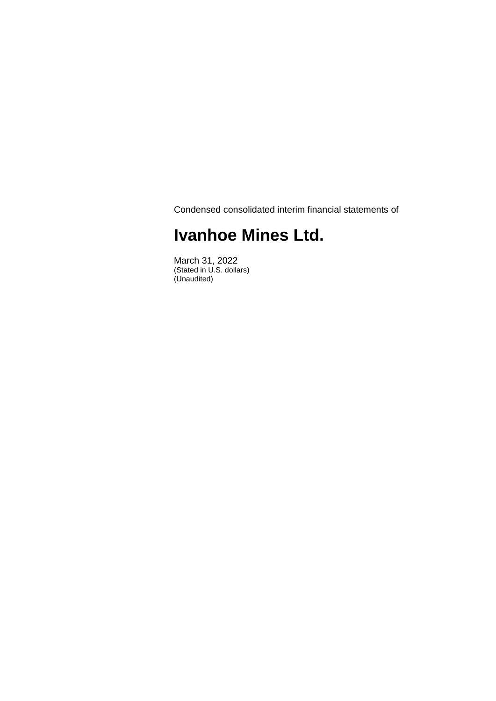Condensed consolidated interim financial statements of

# **Ivanhoe Mines Ltd.**

March 31, 2022 (Stated in U.S. dollars) (Unaudited)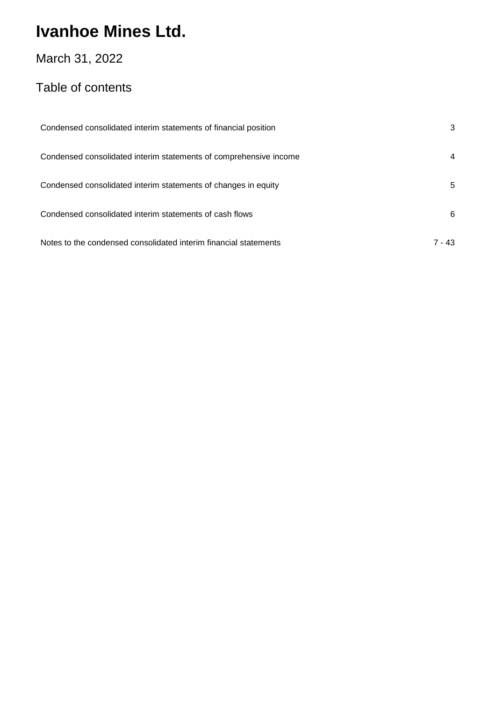## March 31, 2022

## Table of contents

| Condensed consolidated interim statements of financial position   | 3        |
|-------------------------------------------------------------------|----------|
| Condensed consolidated interim statements of comprehensive income | 4        |
| Condensed consolidated interim statements of changes in equity    | 5        |
| Condensed consolidated interim statements of cash flows           | 6        |
| Notes to the condensed consolidated interim financial statements  | $7 - 43$ |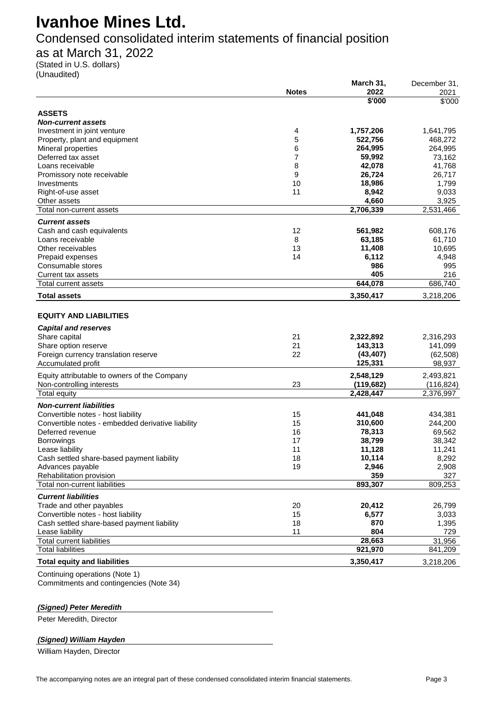Condensed consolidated interim statements of financial position

as at March 31, 2022

(Stated in U.S. dollars) (Unaudited)

|                                                   |              | March 31,  | December 31, |
|---------------------------------------------------|--------------|------------|--------------|
|                                                   | <b>Notes</b> | 2022       | 2021         |
|                                                   |              | \$'000     | \$'000       |
| <b>ASSETS</b>                                     |              |            |              |
| <b>Non-current assets</b>                         |              |            |              |
| Investment in joint venture                       | 4            | 1,757,206  | 1,641,795    |
| Property, plant and equipment                     | 5            | 522,756    | 468,272      |
| Mineral properties                                | 6            | 264,995    | 264,995      |
| Deferred tax asset                                | 7            | 59,992     | 73,162       |
| Loans receivable                                  | 8            | 42,078     | 41,768       |
| Promissory note receivable                        | 9            | 26,724     | 26,717       |
| Investments                                       | 10           | 18,986     | 1,799        |
| Right-of-use asset                                | 11           | 8,942      | 9,033        |
| Other assets                                      |              | 4,660      | 3,925        |
| Total non-current assets                          |              | 2,706,339  | 2,531,466    |
|                                                   |              |            |              |
| <b>Current assets</b>                             |              |            |              |
| Cash and cash equivalents                         | 12           | 561,982    | 608,176      |
| Loans receivable                                  | 8            | 63,185     | 61,710       |
| Other receivables                                 | 13           | 11,408     | 10,695       |
| Prepaid expenses                                  | 14           | 6,112      | 4,948        |
| Consumable stores                                 |              | 986        | 995          |
| <b>Current tax assets</b>                         |              | 405        | 216          |
| Total current assets                              |              | 644,078    | 686,740      |
| <b>Total assets</b>                               |              | 3,350,417  | 3,218,206    |
| <b>EQUITY AND LIABILITIES</b>                     |              |            |              |
|                                                   |              |            |              |
| <b>Capital and reserves</b>                       |              |            |              |
| Share capital                                     | 21           | 2,322,892  | 2,316,293    |
| Share option reserve                              | 21           | 143,313    | 141,099      |
| Foreign currency translation reserve              | 22           | (43, 407)  | (62, 508)    |
| Accumulated profit                                |              | 125,331    | 98,937       |
| Equity attributable to owners of the Company      |              | 2,548,129  | 2,493,821    |
| Non-controlling interests                         | 23           | (119, 682) | (116, 824)   |
| Total equity                                      |              | 2,428,447  | 2,376,997    |
|                                                   |              |            |              |
| <b>Non-current liabilities</b>                    |              |            |              |
| Convertible notes - host liability                | 15           | 441,048    | 434,381      |
| Convertible notes - embedded derivative liability | 15           | 310,600    | 244,200      |
| Deferred revenue                                  | 16           | 78,313     | 69,562       |
| <b>Borrowings</b>                                 | 17           | 38,799     | 38,342       |
| Lease liability                                   | 11           | 11,128     | 11,241       |
| Cash settled share-based payment liability        | 18           | 10,114     | 8,292        |
| Advances payable                                  | 19           | 2,946      | 2,908        |
| Rehabilitation provision                          |              | 359        | 327          |
| Total non-current liabilities                     |              | 893,307    | 809,253      |
| <b>Current liabilities</b>                        |              |            |              |
| Trade and other payables                          | 20           | 20,412     | 26,799       |
| Convertible notes - host liability                | 15           | 6,577      | 3,033        |
| Cash settled share-based payment liability        | 18           | 870        | 1,395        |
| Lease liability                                   | 11           | 804        | 729          |
| <b>Total current liabilities</b>                  |              | 28,663     | 31,956       |
| <b>Total liabilities</b>                          |              | 921,970    | 841,209      |
|                                                   |              |            |              |
| <b>Total equity and liabilities</b>               |              | 3,350,417  | 3,218,206    |
| Continuing operations (Note 1)                    |              |            |              |

Commitments and contingencies (Note 34)

#### *(Signed) Peter Meredith*

Peter Meredith, Director

#### *(Signed) William Hayden*

William Hayden, Director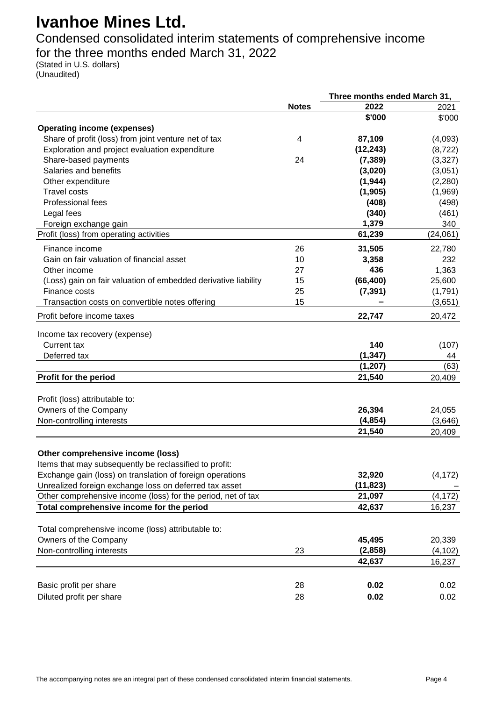Condensed consolidated interim statements of comprehensive income for the three months ended March 31, 2022

(Stated in U.S. dollars) (Unaudited)

|                                                                |              | Three months ended March 31, |          |
|----------------------------------------------------------------|--------------|------------------------------|----------|
|                                                                | <b>Notes</b> | 2022                         | 2021     |
|                                                                |              | \$'000                       | \$'000   |
| <b>Operating income (expenses)</b>                             |              |                              |          |
| Share of profit (loss) from joint venture net of tax           | 4            | 87,109                       | (4,093)  |
| Exploration and project evaluation expenditure                 |              | (12, 243)                    | (8, 722) |
| Share-based payments                                           | 24           | (7, 389)                     | (3,327)  |
| Salaries and benefits                                          |              | (3,020)                      | (3,051)  |
| Other expenditure                                              |              | (1, 944)                     | (2, 280) |
| <b>Travel costs</b>                                            |              | (1, 905)                     | (1,969)  |
| Professional fees                                              |              | (408)                        | (498)    |
| Legal fees                                                     |              | (340)                        | (461)    |
| Foreign exchange gain                                          |              | 1,379                        | 340      |
| Profit (loss) from operating activities                        |              | 61,239                       | (24,061) |
| Finance income                                                 | 26           | 31,505                       | 22,780   |
| Gain on fair valuation of financial asset                      | 10           | 3,358                        | 232      |
| Other income                                                   | 27           | 436                          | 1,363    |
| (Loss) gain on fair valuation of embedded derivative liability | 15           | (66, 400)                    | 25,600   |
| Finance costs                                                  | 25           | (7, 391)                     | (1,791)  |
| Transaction costs on convertible notes offering                | 15           |                              | (3,651)  |
| Profit before income taxes                                     |              | 22,747                       | 20,472   |
|                                                                |              |                              |          |
| Income tax recovery (expense)                                  |              |                              |          |
| <b>Current tax</b>                                             |              | 140                          | (107)    |
| Deferred tax                                                   |              | (1, 347)                     | 44       |
|                                                                |              | (1, 207)                     | (63)     |
| Profit for the period                                          |              | 21,540                       | 20,409   |
| Profit (loss) attributable to:                                 |              |                              |          |
| Owners of the Company                                          |              | 26,394                       | 24,055   |
| Non-controlling interests                                      |              | (4, 854)                     | (3,646)  |
|                                                                |              | 21,540                       | 20,409   |
|                                                                |              |                              |          |
| Other comprehensive income (loss)                              |              |                              |          |
| Items that may subsequently be reclassified to profit:         |              |                              |          |
| Exchange gain (loss) on translation of foreign operations      |              | 32,920                       | (4, 172) |
| Unrealized foreign exchange loss on deferred tax asset         |              | (11, 823)                    |          |
| Other comprehensive income (loss) for the period, net of tax   |              | 21,097                       | (4, 172) |
| Total comprehensive income for the period                      |              | 42,637                       | 16,237   |
| Total comprehensive income (loss) attributable to:             |              |                              |          |
| Owners of the Company                                          |              | 45,495                       | 20,339   |
| Non-controlling interests                                      | 23           | (2,858)                      | (4, 102) |
|                                                                |              | 42,637                       | 16,237   |
|                                                                |              |                              |          |
| Basic profit per share                                         | 28           | 0.02                         | 0.02     |
| Diluted profit per share                                       | 28           | 0.02                         | 0.02     |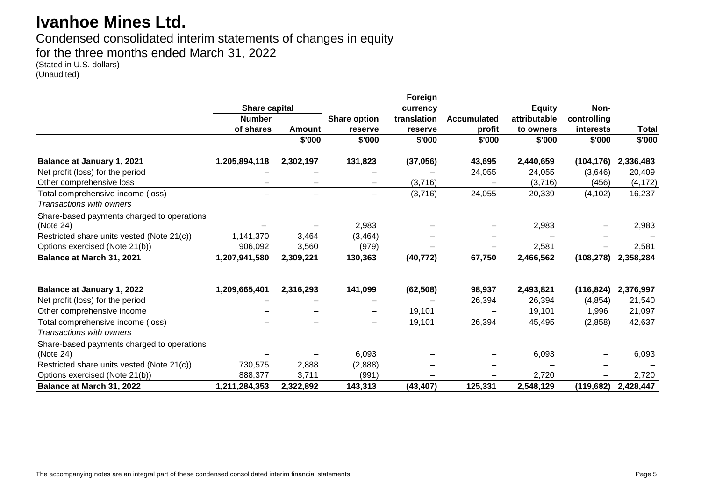# Condensed consolidated interim statements of changes in equity

for the three months ended March 31, 2022

(Stated in U.S. dollars) (Unaudited)

|                                                               |               |                          |                                    | Foreign   |                    |               |             |           |
|---------------------------------------------------------------|---------------|--------------------------|------------------------------------|-----------|--------------------|---------------|-------------|-----------|
|                                                               | Share capital |                          |                                    | currency  |                    | <b>Equity</b> | Non-        |           |
|                                                               | <b>Number</b> |                          | <b>Share option</b><br>translation |           | <b>Accumulated</b> | attributable  | controlling |           |
|                                                               | of shares     | <b>Amount</b>            | reserve                            | reserve   | profit             | to owners     | interests   | Total     |
|                                                               |               | \$'000                   | \$'000                             | \$'000    | \$'000             | \$'000        | \$'000      | \$'000    |
| <b>Balance at January 1, 2021</b>                             | 1,205,894,118 | 2,302,197                | 131,823                            | (37, 056) | 43,695             | 2,440,659     | (104, 176)  | 2,336,483 |
| Net profit (loss) for the period                              |               |                          |                                    |           | 24,055             | 24,055        | (3,646)     | 20,409    |
| Other comprehensive loss                                      |               |                          | $\qquad \qquad \blacksquare$       | (3,716)   |                    | (3,716)       | (456)       | (4, 172)  |
| Total comprehensive income (loss)<br>Transactions with owners |               | $\qquad \qquad -$        | $\qquad \qquad -$                  | (3,716)   | 24,055             | 20,339        | (4, 102)    | 16,237    |
| Share-based payments charged to operations<br>(Note 24)       |               |                          | 2,983                              |           |                    | 2,983         |             | 2,983     |
| Restricted share units vested (Note 21(c))                    | 1,141,370     | 3,464                    | (3, 464)                           |           |                    |               |             |           |
| Options exercised (Note 21(b))                                | 906,092       | 3,560                    | (979)                              |           |                    | 2,581         |             | 2,581     |
| Balance at March 31, 2021                                     | 1,207,941,580 | 2,309,221                | 130,363                            | (40, 772) | 67,750             | 2,466,562     | (108, 278)  | 2,358,284 |
| Balance at January 1, 2022                                    | 1,209,665,401 | 2,316,293                | 141,099                            | (62, 508) | 98,937             | 2,493,821     | (116, 824)  | 2,376,997 |
| Net profit (loss) for the period                              |               |                          |                                    |           | 26,394             | 26,394        | (4, 854)    | 21,540    |
| Other comprehensive income                                    |               | $\overline{\phantom{0}}$ | $\overline{\phantom{0}}$           | 19,101    |                    | 19,101        | 1,996       | 21,097    |
| Total comprehensive income (loss)<br>Transactions with owners |               |                          | $\overline{\phantom{0}}$           | 19,101    | 26,394             | 45,495        | (2,858)     | 42,637    |
| Share-based payments charged to operations<br>(Note 24)       |               |                          | 6,093                              |           |                    | 6,093         |             | 6,093     |
| Restricted share units vested (Note 21(c))                    | 730,575       | 2,888                    | (2,888)                            |           |                    |               |             |           |
| Options exercised (Note 21(b))                                | 888,377       | 3,711                    | (991)                              |           |                    | 2,720         |             | 2,720     |
| Balance at March 31, 2022                                     | 1,211,284,353 | 2,322,892                | 143,313                            | (43, 407) | 125,331            | 2,548,129     | (119, 682)  | 2,428,447 |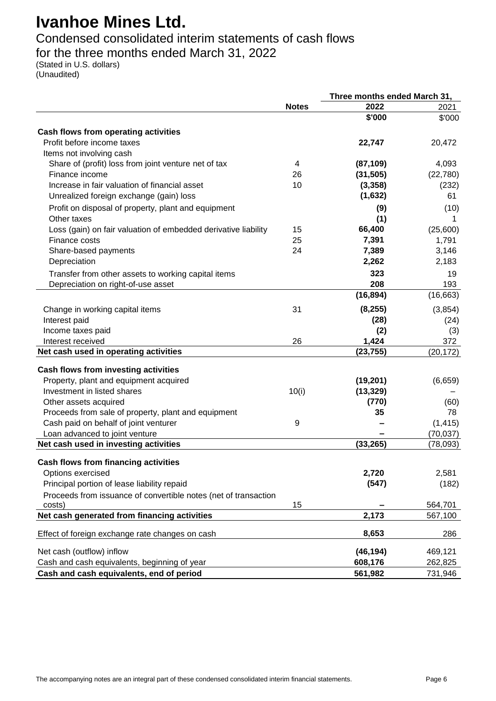Condensed consolidated interim statements of cash flows

## for the three months ended March 31, 2022

(Stated in U.S. dollars) (Unaudited)

|                                                                                              |              | Three months ended March 31, |            |
|----------------------------------------------------------------------------------------------|--------------|------------------------------|------------|
|                                                                                              | <b>Notes</b> | 2022                         | 2021       |
|                                                                                              |              | \$'000                       | \$'000     |
| Cash flows from operating activities                                                         |              |                              |            |
| Profit before income taxes                                                                   |              | 22,747                       | 20,472     |
| Items not involving cash                                                                     |              |                              |            |
| Share of (profit) loss from joint venture net of tax                                         | 4            | (87, 109)                    | 4,093      |
| Finance income                                                                               | 26           | (31, 505)                    | (22, 780)  |
| Increase in fair valuation of financial asset                                                | 10           | (3, 358)                     | (232)      |
| Unrealized foreign exchange (gain) loss                                                      |              | (1,632)                      | 61         |
| Profit on disposal of property, plant and equipment                                          |              | (9)                          | (10)       |
| Other taxes                                                                                  |              | (1)                          |            |
| Loss (gain) on fair valuation of embedded derivative liability                               | 15           | 66,400                       | (25,600)   |
| Finance costs                                                                                | 25           | 7,391                        | 1,791      |
| Share-based payments                                                                         | 24           | 7,389                        | 3,146      |
| Depreciation                                                                                 |              | 2,262                        | 2,183      |
| Transfer from other assets to working capital items                                          |              | 323                          | 19         |
| Depreciation on right-of-use asset                                                           |              | 208                          | 193        |
|                                                                                              |              | (16, 894)                    | (16, 663)  |
| Change in working capital items                                                              | 31           | (8, 255)                     | (3, 854)   |
| Interest paid                                                                                |              | (28)                         | (24)       |
| Income taxes paid                                                                            |              | (2)                          | (3)        |
| Interest received                                                                            | 26           | 1,424                        | 372        |
| Net cash used in operating activities                                                        |              | (23,755)                     | (20, 172)  |
|                                                                                              |              |                              |            |
| Cash flows from investing activities                                                         |              |                              |            |
| Property, plant and equipment acquired<br>Investment in listed shares                        |              | (19, 201)                    | (6,659)    |
|                                                                                              | 10(i)        | (13, 329)<br>(770)           |            |
| Other assets acquired                                                                        |              | 35                           | (60)<br>78 |
| Proceeds from sale of property, plant and equipment<br>Cash paid on behalf of joint venturer | 9            |                              | (1, 415)   |
| Loan advanced to joint venture                                                               |              |                              | (70, 037)  |
| Net cash used in investing activities                                                        |              | (33, 265)                    | (78,093)   |
|                                                                                              |              |                              |            |
| Cash flows from financing activities                                                         |              |                              |            |
| Options exercised                                                                            |              | 2,720                        | 2,581      |
| Principal portion of lease liability repaid                                                  |              | (547)                        | (182)      |
| Proceeds from issuance of convertible notes (net of transaction                              |              |                              |            |
| costs)                                                                                       | 15           |                              | 564,701    |
| Net cash generated from financing activities                                                 |              | 2,173                        | 567,100    |
| Effect of foreign exchange rate changes on cash                                              |              | 8,653                        | 286        |
| Net cash (outflow) inflow                                                                    |              | (46, 194)                    | 469,121    |
| Cash and cash equivalents, beginning of year                                                 |              | 608,176                      | 262,825    |
| Cash and cash equivalents, end of period                                                     |              | 561,982                      | 731,946    |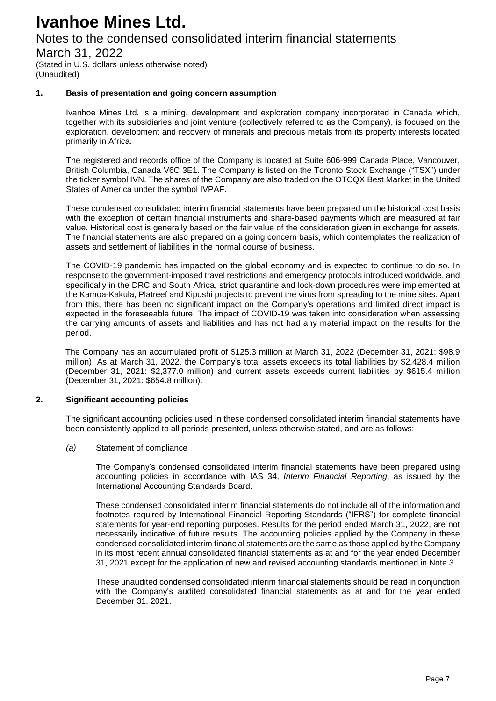### Notes to the condensed consolidated interim financial statements

March 31, 2022

(Stated in U.S. dollars unless otherwise noted) (Unaudited)

#### **1. Basis of presentation and going concern assumption**

Ivanhoe Mines Ltd. is a mining, development and exploration company incorporated in Canada which, together with its subsidiaries and joint venture (collectively referred to as the Company), is focused on the exploration, development and recovery of minerals and precious metals from its property interests located primarily in Africa.

The registered and records office of the Company is located at Suite 606-999 Canada Place, Vancouver, British Columbia, Canada V6C 3E1. The Company is listed on the Toronto Stock Exchange ("TSX") under the ticker symbol IVN. The shares of the Company are also traded on the OTCQX Best Market in the United States of America under the symbol IVPAF.

These condensed consolidated interim financial statements have been prepared on the historical cost basis with the exception of certain financial instruments and share-based payments which are measured at fair value. Historical cost is generally based on the fair value of the consideration given in exchange for assets. The financial statements are also prepared on a going concern basis, which contemplates the realization of assets and settlement of liabilities in the normal course of business.

The COVID-19 pandemic has impacted on the global economy and is expected to continue to do so. In response to the government-imposed travel restrictions and emergency protocols introduced worldwide, and specifically in the DRC and South Africa, strict quarantine and lock-down procedures were implemented at the Kamoa-Kakula, Platreef and Kipushi projects to prevent the virus from spreading to the mine sites. Apart from this, there has been no significant impact on the Company's operations and limited direct impact is expected in the foreseeable future. The impact of COVID-19 was taken into consideration when assessing the carrying amounts of assets and liabilities and has not had any material impact on the results for the period.

The Company has an accumulated profit of \$125.3 million at March 31, 2022 (December 31, 2021: \$98.9 million). As at March 31, 2022, the Company's total assets exceeds its total liabilities by \$2,428.4 million (December 31, 2021: \$2,377.0 million) and current assets exceeds current liabilities by \$615.4 million (December 31, 2021: \$654.8 million).

#### **2. Significant accounting policies**

The significant accounting policies used in these condensed consolidated interim financial statements have been consistently applied to all periods presented, unless otherwise stated, and are as follows:

#### *(a)* Statement of compliance

The Company's condensed consolidated interim financial statements have been prepared using accounting policies in accordance with IAS 34, *Interim Financial Reporting*, as issued by the International Accounting Standards Board.

These condensed consolidated interim financial statements do not include all of the information and footnotes required by International Financial Reporting Standards ("IFRS") for complete financial statements for year-end reporting purposes. Results for the period ended March 31, 2022, are not necessarily indicative of future results. The accounting policies applied by the Company in these condensed consolidated interim financial statements are the same as those applied by the Company in its most recent annual consolidated financial statements as at and for the year ended December 31, 2021 except for the application of new and revised accounting standards mentioned in Note 3.

These unaudited condensed consolidated interim financial statements should be read in conjunction with the Company's audited consolidated financial statements as at and for the year ended December 31, 2021.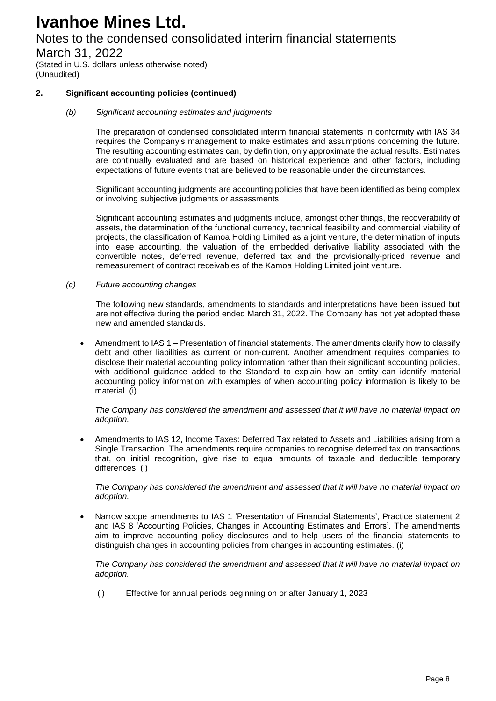## Notes to the condensed consolidated interim financial statements

March 31, 2022

(Stated in U.S. dollars unless otherwise noted) (Unaudited)

### **2. Significant accounting policies (continued)**

*(b) Significant accounting estimates and judgments*

The preparation of condensed consolidated interim financial statements in conformity with IAS 34 requires the Company's management to make estimates and assumptions concerning the future. The resulting accounting estimates can, by definition, only approximate the actual results. Estimates are continually evaluated and are based on historical experience and other factors, including expectations of future events that are believed to be reasonable under the circumstances.

Significant accounting judgments are accounting policies that have been identified as being complex or involving subjective judgments or assessments.

Significant accounting estimates and judgments include, amongst other things, the recoverability of assets, the determination of the functional currency, technical feasibility and commercial viability of projects, the classification of Kamoa Holding Limited as a joint venture, the determination of inputs into lease accounting, the valuation of the embedded derivative liability associated with the convertible notes, deferred revenue, deferred tax and the provisionally-priced revenue and remeasurement of contract receivables of the Kamoa Holding Limited joint venture.

*(c) Future accounting changes*

The following new standards, amendments to standards and interpretations have been issued but are not effective during the period ended March 31, 2022. The Company has not yet adopted these new and amended standards.

Amendment to IAS 1 – Presentation of financial statements. The amendments clarify how to classify debt and other liabilities as current or non-current. Another amendment requires companies to disclose their material accounting policy information rather than their significant accounting policies, with additional guidance added to the Standard to explain how an entity can identify material accounting policy information with examples of when accounting policy information is likely to be material. (i)

*The Company has considered the amendment and assessed that it will have no material impact on adoption.*

 Amendments to IAS 12, Income Taxes: Deferred Tax related to Assets and Liabilities arising from a Single Transaction. The amendments require companies to recognise deferred tax on transactions that, on initial recognition, give rise to equal amounts of taxable and deductible temporary differences. (i)

*The Company has considered the amendment and assessed that it will have no material impact on adoption.*

 Narrow scope amendments to IAS 1 'Presentation of Financial Statements', Practice statement 2 and IAS 8 'Accounting Policies, Changes in Accounting Estimates and Errors'. The amendments aim to improve accounting policy disclosures and to help users of the financial statements to distinguish changes in accounting policies from changes in accounting estimates. (i)

*The Company has considered the amendment and assessed that it will have no material impact on adoption.*

(i) Effective for annual periods beginning on or after January 1, 2023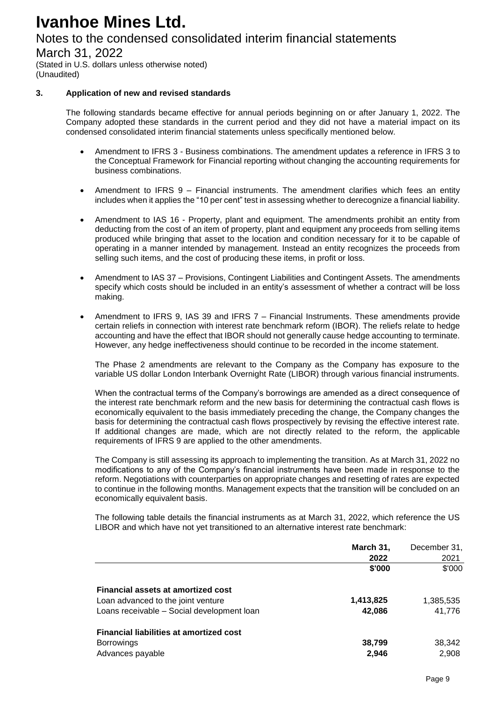## Notes to the condensed consolidated interim financial statements

March 31, 2022

(Stated in U.S. dollars unless otherwise noted) (Unaudited)

### **3. Application of new and revised standards**

The following standards became effective for annual periods beginning on or after January 1, 2022. The Company adopted these standards in the current period and they did not have a material impact on its condensed consolidated interim financial statements unless specifically mentioned below.

- Amendment to IFRS 3 Business combinations. The amendment updates a reference in IFRS 3 to the Conceptual Framework for Financial reporting without changing the accounting requirements for business combinations.
- Amendment to IFRS 9 Financial instruments. The amendment clarifies which fees an entity includes when it applies the "10 per cent" test in assessing whether to derecognize a financial liability.
- Amendment to IAS 16 Property, plant and equipment. The amendments prohibit an entity from deducting from the cost of an item of property, plant and equipment any proceeds from selling items produced while bringing that asset to the location and condition necessary for it to be capable of operating in a manner intended by management. Instead an entity recognizes the proceeds from selling such items, and the cost of producing these items, in profit or loss.
- Amendment to IAS 37 Provisions, Contingent Liabilities and Contingent Assets. The amendments specify which costs should be included in an entity's assessment of whether a contract will be loss making.
- Amendment to IFRS 9, IAS 39 and IFRS 7 Financial Instruments. These amendments provide certain reliefs in connection with interest rate benchmark reform (IBOR). The reliefs relate to hedge accounting and have the effect that IBOR should not generally cause hedge accounting to terminate. However, any hedge ineffectiveness should continue to be recorded in the income statement.

The Phase 2 amendments are relevant to the Company as the Company has exposure to the variable US dollar London Interbank Overnight Rate (LIBOR) through various financial instruments.

When the contractual terms of the Company's borrowings are amended as a direct consequence of the interest rate benchmark reform and the new basis for determining the contractual cash flows is economically equivalent to the basis immediately preceding the change, the Company changes the basis for determining the contractual cash flows prospectively by revising the effective interest rate. If additional changes are made, which are not directly related to the reform, the applicable requirements of IFRS 9 are applied to the other amendments.

The Company is still assessing its approach to implementing the transition. As at March 31, 2022 no modifications to any of the Company's financial instruments have been made in response to the reform. Negotiations with counterparties on appropriate changes and resetting of rates are expected to continue in the following months. Management expects that the transition will be concluded on an economically equivalent basis.

The following table details the financial instruments as at March 31, 2022, which reference the US LIBOR and which have not yet transitioned to an alternative interest rate benchmark:

|                                                | March 31, | December 31, |
|------------------------------------------------|-----------|--------------|
|                                                | 2022      | 2021         |
|                                                | \$'000    | \$'000       |
| <b>Financial assets at amortized cost</b>      |           |              |
| Loan advanced to the joint venture             | 1,413,825 | 1,385,535    |
| Loans receivable - Social development loan     | 42.086    | 41,776       |
| <b>Financial liabilities at amortized cost</b> |           |              |
| <b>Borrowings</b>                              | 38,799    | 38,342       |
| Advances payable                               | 2.946     | 2.908        |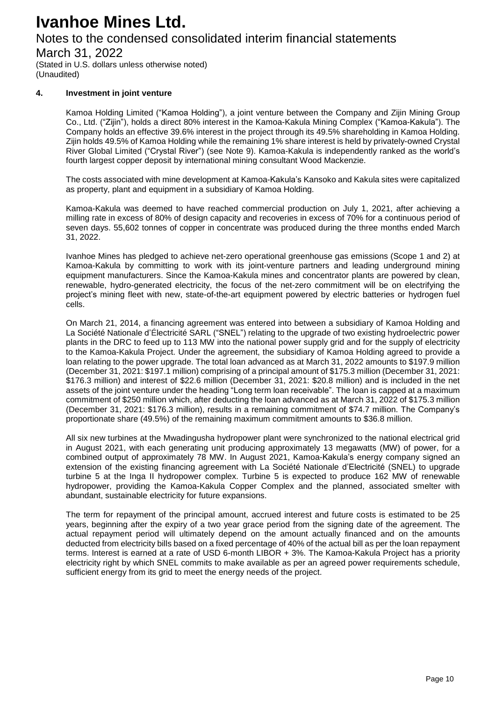## Notes to the condensed consolidated interim financial statements

March 31, 2022

(Stated in U.S. dollars unless otherwise noted) (Unaudited)

#### **4. Investment in joint venture**

Kamoa Holding Limited ("Kamoa Holding"), a joint venture between the Company and Zijin Mining Group Co., Ltd. ("Zijin"), holds a direct 80% interest in the Kamoa-Kakula Mining Complex ("Kamoa-Kakula"). The Company holds an effective 39.6% interest in the project through its 49.5% shareholding in Kamoa Holding. Zijin holds 49.5% of Kamoa Holding while the remaining 1% share interest is held by privately-owned Crystal River Global Limited ("Crystal River") (see Note 9). Kamoa-Kakula is independently ranked as the world's fourth largest copper deposit by international mining consultant Wood Mackenzie.

The costs associated with mine development at Kamoa-Kakula's Kansoko and Kakula sites were capitalized as property, plant and equipment in a subsidiary of Kamoa Holding.

Kamoa-Kakula was deemed to have reached commercial production on July 1, 2021, after achieving a milling rate in excess of 80% of design capacity and recoveries in excess of 70% for a continuous period of seven days. 55,602 tonnes of copper in concentrate was produced during the three months ended March 31, 2022.

Ivanhoe Mines has pledged to achieve net-zero operational greenhouse gas emissions (Scope 1 and 2) at Kamoa-Kakula by committing to work with its joint-venture partners and leading underground mining equipment manufacturers. Since the Kamoa-Kakula mines and concentrator plants are powered by clean, renewable, hydro-generated electricity, the focus of the net-zero commitment will be on electrifying the project's mining fleet with new, state-of-the-art equipment powered by electric batteries or hydrogen fuel cells.

On March 21, 2014, a financing agreement was entered into between a subsidiary of Kamoa Holding and La Société Nationale d'Électricité SARL ("SNEL") relating to the upgrade of two existing hydroelectric power plants in the DRC to feed up to 113 MW into the national power supply grid and for the supply of electricity to the Kamoa-Kakula Project. Under the agreement, the subsidiary of Kamoa Holding agreed to provide a loan relating to the power upgrade. The total loan advanced as at March 31, 2022 amounts to \$197.9 million (December 31, 2021: \$197.1 million) comprising of a principal amount of \$175.3 million (December 31, 2021: \$176.3 million) and interest of \$22.6 million (December 31, 2021: \$20.8 million) and is included in the net assets of the joint venture under the heading "Long term loan receivable". The loan is capped at a maximum commitment of \$250 million which, after deducting the loan advanced as at March 31, 2022 of \$175.3 million (December 31, 2021: \$176.3 million), results in a remaining commitment of \$74.7 million. The Company's proportionate share (49.5%) of the remaining maximum commitment amounts to \$36.8 million.

All six new turbines at the Mwadingusha hydropower plant were synchronized to the national electrical grid in August 2021, with each generating unit producing approximately 13 megawatts (MW) of power, for a combined output of approximately 78 MW. In August 2021, Kamoa-Kakula's energy company signed an extension of the existing financing agreement with La Société Nationale d'Electricité (SNEL) to upgrade turbine 5 at the Inga II hydropower complex. Turbine 5 is expected to produce 162 MW of renewable hydropower, providing the Kamoa-Kakula Copper Complex and the planned, associated smelter with abundant, sustainable electricity for future expansions.

The term for repayment of the principal amount, accrued interest and future costs is estimated to be 25 years, beginning after the expiry of a two year grace period from the signing date of the agreement. The actual repayment period will ultimately depend on the amount actually financed and on the amounts deducted from electricity bills based on a fixed percentage of 40% of the actual bill as per the loan repayment terms. Interest is earned at a rate of USD 6-month LIBOR + 3%. The Kamoa-Kakula Project has a priority electricity right by which SNEL commits to make available as per an agreed power requirements schedule, sufficient energy from its grid to meet the energy needs of the project.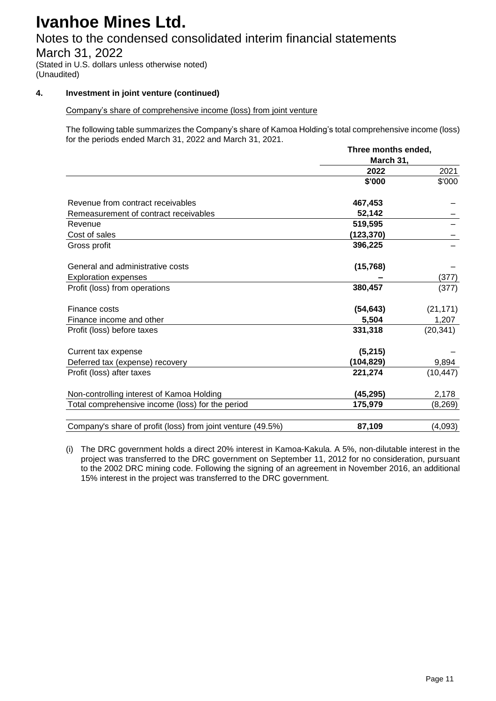## Notes to the condensed consolidated interim financial statements

March 31, 2022

(Stated in U.S. dollars unless otherwise noted) (Unaudited)

### **4. Investment in joint venture (continued)**

### Company's share of comprehensive income (loss) from joint venture

The following table summarizes the Company's share of Kamoa Holding's total comprehensive income (loss) for the periods ended March 31, 2022 and March 31, 2021.

|                                                             | Three months ended, |           |
|-------------------------------------------------------------|---------------------|-----------|
|                                                             | March 31,           |           |
|                                                             | 2022                | 2021      |
|                                                             | \$'000              | \$'000    |
| Revenue from contract receivables                           | 467,453             |           |
| Remeasurement of contract receivables                       | 52,142              |           |
| Revenue                                                     | 519,595             |           |
| Cost of sales                                               | (123, 370)          |           |
| Gross profit                                                | 396,225             |           |
| General and administrative costs                            | (15,768)            |           |
| <b>Exploration expenses</b>                                 |                     | (377)     |
| Profit (loss) from operations                               | 380,457             | (377)     |
| Finance costs                                               | (54, 643)           | (21, 171) |
| Finance income and other                                    | 5,504               | 1,207     |
| Profit (loss) before taxes                                  | 331,318             | (20, 341) |
| Current tax expense                                         | (5,215)             |           |
| Deferred tax (expense) recovery                             | (104, 829)          | 9,894     |
| Profit (loss) after taxes                                   | 221,274             | (10, 447) |
| Non-controlling interest of Kamoa Holding                   | (45, 295)           | 2,178     |
| Total comprehensive income (loss) for the period            | 175,979             | (8, 269)  |
| Company's share of profit (loss) from joint venture (49.5%) | 87,109              | (4,093)   |

(i) The DRC government holds a direct 20% interest in Kamoa-Kakula. A 5%, non-dilutable interest in the project was transferred to the DRC government on September 11, 2012 for no consideration, pursuant to the 2002 DRC mining code. Following the signing of an agreement in November 2016, an additional 15% interest in the project was transferred to the DRC government.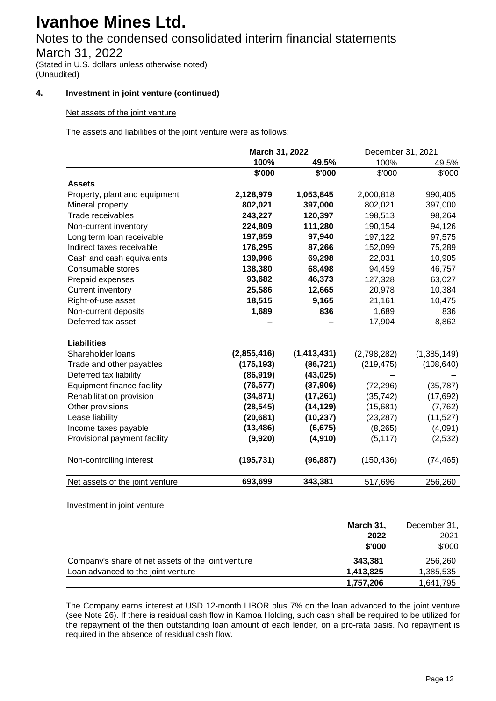## Notes to the condensed consolidated interim financial statements

March 31, 2022

(Stated in U.S. dollars unless otherwise noted) (Unaudited)

### **4. Investment in joint venture (continued)**

#### Net assets of the joint venture

The assets and liabilities of the joint venture were as follows:

|                                   | March 31, 2022 |               | December 31, 2021 |             |  |
|-----------------------------------|----------------|---------------|-------------------|-------------|--|
|                                   | 100%           | 49.5%         | 100%              | 49.5%       |  |
|                                   | \$'000         | \$'000        | \$'000            | \$'000      |  |
| <b>Assets</b>                     |                |               |                   |             |  |
| Property, plant and equipment     | 2,128,979      | 1,053,845     | 2,000,818         | 990,405     |  |
| Mineral property                  | 802,021        | 397,000       | 802,021           | 397,000     |  |
| Trade receivables                 | 243,227        | 120,397       | 198,513           | 98,264      |  |
| Non-current inventory             | 224,809        | 111,280       | 190,154           | 94,126      |  |
| Long term loan receivable         | 197,859        | 97,940        | 197,122           | 97,575      |  |
| Indirect taxes receivable         | 176,295        | 87,266        | 152,099           | 75,289      |  |
| Cash and cash equivalents         | 139,996        | 69,298        | 22,031            | 10,905      |  |
| Consumable stores                 | 138,380        | 68,498        | 94,459            | 46,757      |  |
| Prepaid expenses                  | 93,682         | 46,373        | 127,328           | 63,027      |  |
| <b>Current inventory</b>          | 25,586         | 12,665        | 20,978            | 10,384      |  |
| Right-of-use asset                | 18,515         | 9,165         | 21,161            | 10,475      |  |
| Non-current deposits              | 1,689          | 836           | 1,689             | 836         |  |
| Deferred tax asset                |                |               | 17,904            | 8,862       |  |
| <b>Liabilities</b>                |                |               |                   |             |  |
| Shareholder loans                 | (2,855,416)    | (1, 413, 431) | (2,798,282)       | (1,385,149) |  |
| Trade and other payables          | (175, 193)     | (86, 721)     | (219, 475)        | (108, 640)  |  |
| Deferred tax liability            | (86,919)       | (43, 025)     |                   |             |  |
| <b>Equipment finance facility</b> | (76, 577)      | (37,906)      | (72, 296)         | (35, 787)   |  |
| Rehabilitation provision          | (34, 871)      | (17, 261)     | (35, 742)         | (17, 692)   |  |
| Other provisions                  | (28, 545)      | (14, 129)     | (15,681)          | (7, 762)    |  |
| Lease liability                   | (20, 681)      | (10, 237)     | (23, 287)         | (11, 527)   |  |
| Income taxes payable              | (13, 486)      | (6, 675)      | (8, 265)          | (4,091)     |  |
| Provisional payment facility      | (9,920)        | (4, 910)      | (5, 117)          | (2, 532)    |  |
| Non-controlling interest          | (195, 731)     | (96, 887)     | (150, 436)        | (74, 465)   |  |
| Net assets of the joint venture   | 693,699        | 343,381       | 517,696           | 256,260     |  |

Investment in joint venture

|                                                    | March 31, | December 31, |
|----------------------------------------------------|-----------|--------------|
|                                                    | 2022      | 2021         |
|                                                    | \$'000    | \$'000       |
| Company's share of net assets of the joint venture | 343.381   | 256,260      |
| Loan advanced to the joint venture                 | 1,413,825 | 1,385,535    |
|                                                    | 1,757,206 | 1,641,795    |

The Company earns interest at USD 12-month LIBOR plus 7% on the loan advanced to the joint venture (see Note 26). If there is residual cash flow in Kamoa Holding, such cash shall be required to be utilized for the repayment of the then outstanding loan amount of each lender, on a pro-rata basis. No repayment is required in the absence of residual cash flow.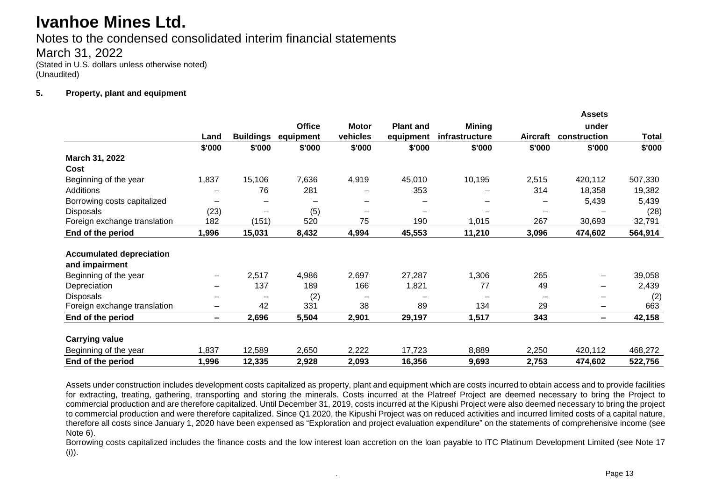Notes to the condensed consolidated interim financial statements March 31, 2022 (Stated in U.S. dollars unless otherwise noted) (Unaudited)

#### **5. Property, plant and equipment**

|                                 |                          |                          |               |              |                  |                |                 | <b>Assets</b>            |              |
|---------------------------------|--------------------------|--------------------------|---------------|--------------|------------------|----------------|-----------------|--------------------------|--------------|
|                                 |                          |                          | <b>Office</b> | <b>Motor</b> | <b>Plant and</b> | <b>Mining</b>  |                 | under                    |              |
|                                 | Land                     | <b>Buildings</b>         | equipment     | vehicles     | equipment        | infrastructure | <b>Aircraft</b> | construction             | <b>Total</b> |
|                                 | \$'000                   | \$'000                   | \$'000        | \$'000       | \$'000           | \$'000         | \$'000          | \$'000                   | \$'000       |
| March 31, 2022                  |                          |                          |               |              |                  |                |                 |                          |              |
| Cost                            |                          |                          |               |              |                  |                |                 |                          |              |
| Beginning of the year           | 1,837                    | 15,106                   | 7,636         | 4,919        | 45,010           | 10,195         | 2,515           | 420,112                  | 507,330      |
| Additions                       |                          | 76                       | 281           |              | 353              |                | 314             | 18,358                   | 19,382       |
| Borrowing costs capitalized     |                          | $\overline{\phantom{0}}$ |               |              |                  |                |                 | 5,439                    | 5,439        |
| <b>Disposals</b>                | (23)                     | $\overline{\phantom{0}}$ | (5)           |              | —                |                |                 |                          | (28)         |
| Foreign exchange translation    | 182                      | (151)                    | 520           | 75           | 190              | 1,015          | 267             | 30,693                   | 32,791       |
| End of the period               | 1,996                    | 15,031                   | 8,432         | 4,994        | 45,553           | 11,210         | 3,096           | 474,602                  | 564,914      |
| <b>Accumulated depreciation</b> |                          |                          |               |              |                  |                |                 |                          |              |
| and impairment                  |                          |                          |               |              |                  |                |                 |                          |              |
| Beginning of the year           | $\qquad \qquad$          | 2,517                    | 4,986         | 2,697        | 27,287           | 1,306          | 265             | $\qquad \qquad$          | 39,058       |
| Depreciation                    | $\overline{\phantom{0}}$ | 137                      | 189           | 166          | 1,821            | 77             | 49              | $\overline{\phantom{0}}$ | 2,439        |
| <b>Disposals</b>                |                          | $\overline{\phantom{0}}$ | (2)           |              | -                |                | $\qquad \qquad$ |                          | (2)          |
| Foreign exchange translation    | $\overline{\phantom{0}}$ | 42                       | 331           | 38           | 89               | 134            | 29              | $\overline{\phantom{0}}$ | 663          |
| End of the period               | $\overline{\phantom{0}}$ | 2,696                    | 5,504         | 2,901        | 29,197           | 1,517          | 343             | $\overline{\phantom{0}}$ | 42,158       |
| <b>Carrying value</b>           |                          |                          |               |              |                  |                |                 |                          |              |
| Beginning of the year           | 1,837                    | 12,589                   | 2,650         | 2,222        | 17,723           | 8,889          | 2,250           | 420,112                  | 468,272      |
| End of the period               | 1,996                    | 12,335                   | 2,928         | 2,093        | 16,356           | 9,693          | 2,753           | 474,602                  | 522,756      |

Assets under construction includes development costs capitalized as property, plant and equipment which are costs incurred to obtain access and to provide facilities for extracting, treating, gathering, transporting and storing the minerals. Costs incurred at the Platreef Project are deemed necessary to bring the Project to commercial production and are therefore capitalized. Until December 31, 2019, costs incurred at the Kipushi Project were also deemed necessary to bring the project to commercial production and were therefore capitalized. Since Q1 2020, the Kipushi Project was on reduced activities and incurred limited costs of a capital nature, therefore all costs since January 1, 2020 have been expensed as "Exploration and project evaluation expenditure" on the statements of comprehensive income (see Note 6).

Borrowing costs capitalized includes the finance costs and the low interest loan accretion on the loan payable to ITC Platinum Development Limited (see Note 17 (i)).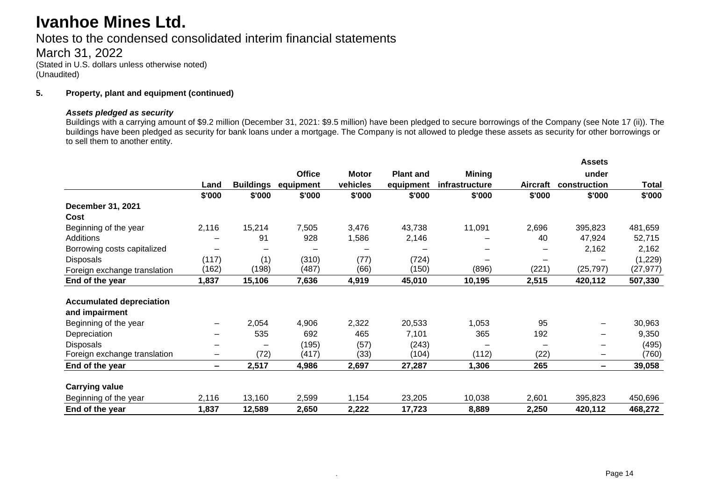Notes to the condensed consolidated interim financial statements

March 31, 2022 (Stated in U.S. dollars unless otherwise noted) (Unaudited)

#### **5. Property, plant and equipment (continued)**

#### *Assets pledged as security*

Buildings with a carrying amount of \$9.2 million (December 31, 2021: \$9.5 million) have been pledged to secure borrowings of the Company (see Note 17 (ii)). The buildings have been pledged as security for bank loans under a mortgage. The Company is not allowed to pledge these assets as security for other borrowings or to sell them to another entity.

|                                 |        |                          |               |              |                  |                |          | <b>Assets</b> |           |
|---------------------------------|--------|--------------------------|---------------|--------------|------------------|----------------|----------|---------------|-----------|
|                                 |        |                          | <b>Office</b> | <b>Motor</b> | <b>Plant and</b> | <b>Mining</b>  |          | under         |           |
|                                 | Land   | <b>Buildings</b>         | equipment     | vehicles     | equipment        | infrastructure | Aircraft | construction  | Total     |
|                                 | \$'000 | \$'000                   | \$'000        | \$'000       | \$'000           | \$'000         | \$'000   | \$'000        | \$'000    |
| December 31, 2021               |        |                          |               |              |                  |                |          |               |           |
| Cost                            |        |                          |               |              |                  |                |          |               |           |
| Beginning of the year           | 2,116  | 15,214                   | 7,505         | 3,476        | 43,738           | 11,091         | 2,696    | 395,823       | 481,659   |
| Additions                       |        | 91                       | 928           | 1,586        | 2,146            |                | 40       | 47,924        | 52,715    |
| Borrowing costs capitalized     |        | $\overline{\phantom{0}}$ |               |              |                  |                |          | 2,162         | 2,162     |
| <b>Disposals</b>                | (117)  | (1)                      | (310)         | (77)         | (724)            |                |          |               | (1,229)   |
| Foreign exchange translation    | (162)  | (198)                    | (487)         | (66)         | (150)            | (896)          | (221)    | (25, 797)     | (27, 977) |
| End of the year                 | 1,837  | 15,106                   | 7,636         | 4,919        | 45,010           | 10,195         | 2,515    | 420,112       | 507,330   |
| <b>Accumulated depreciation</b> |        |                          |               |              |                  |                |          |               |           |
| and impairment                  |        |                          |               |              |                  |                |          |               |           |
| Beginning of the year           |        | 2,054                    | 4,906         | 2,322        | 20,533           | 1,053          | 95       |               | 30,963    |
| Depreciation                    |        | 535                      | 692           | 465          | 7,101            | 365            | 192      |               | 9,350     |
| <b>Disposals</b>                |        |                          | (195)         | (57)         | (243)            |                |          |               | (495)     |
| Foreign exchange translation    | —      | (72)                     | (417)         | (33)         | (104)            | (112)          | (22)     | —             | (760)     |
| End of the year                 | -      | 2,517                    | 4,986         | 2,697        | 27,287           | 1,306          | 265      | -             | 39,058    |
| <b>Carrying value</b>           |        |                          |               |              |                  |                |          |               |           |
| Beginning of the year           | 2,116  | 13,160                   | 2,599         | 1,154        | 23,205           | 10,038         | 2,601    | 395,823       | 450,696   |
| End of the year                 | 1,837  | 12,589                   | 2,650         | 2,222        | 17,723           | 8,889          | 2,250    | 420,112       | 468,272   |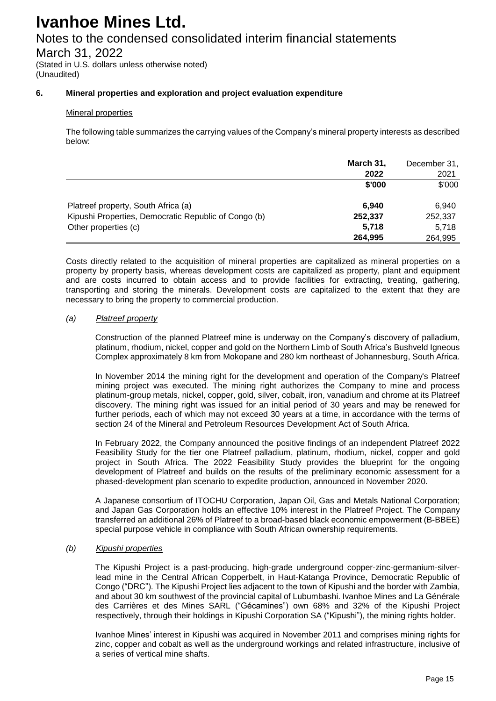## Notes to the condensed consolidated interim financial statements

March 31, 2022

(Stated in U.S. dollars unless otherwise noted) (Unaudited)

### **6. Mineral properties and exploration and project evaluation expenditure**

#### Mineral properties

The following table summarizes the carrying values of the Company's mineral property interests as described below:

|                                                      | March 31, | December 31, |
|------------------------------------------------------|-----------|--------------|
|                                                      | 2022      | 2021         |
|                                                      | \$'000    | \$'000       |
| Platreef property, South Africa (a)                  | 6.940     | 6.940        |
| Kipushi Properties, Democratic Republic of Congo (b) | 252,337   | 252,337      |
| Other properties (c)                                 | 5,718     | 5,718        |
|                                                      | 264,995   | 264,995      |

Costs directly related to the acquisition of mineral properties are capitalized as mineral properties on a property by property basis, whereas development costs are capitalized as property, plant and equipment and are costs incurred to obtain access and to provide facilities for extracting, treating, gathering, transporting and storing the minerals. Development costs are capitalized to the extent that they are necessary to bring the property to commercial production.

#### *(a) Platreef property*

Construction of the planned Platreef mine is underway on the Company's discovery of palladium, platinum, rhodium, nickel, copper and gold on the Northern Limb of South Africa's Bushveld Igneous Complex approximately 8 km from Mokopane and 280 km northeast of Johannesburg, South Africa.

In November 2014 the mining right for the development and operation of the Company's Platreef mining project was executed. The mining right authorizes the Company to mine and process platinum-group metals, nickel, copper, gold, silver, cobalt, iron, vanadium and chrome at its Platreef discovery. The mining right was issued for an initial period of 30 years and may be renewed for further periods, each of which may not exceed 30 years at a time, in accordance with the terms of section 24 of the Mineral and Petroleum Resources Development Act of South Africa.

In February 2022, the Company announced the positive findings of an independent Platreef 2022 Feasibility Study for the tier one Platreef palladium, platinum, rhodium, nickel, copper and gold project in South Africa. The 2022 Feasibility Study provides the blueprint for the ongoing development of Platreef and builds on the results of the preliminary economic assessment for a phased-development plan scenario to expedite production, announced in November 2020.

A Japanese consortium of ITOCHU Corporation, Japan Oil, Gas and Metals National Corporation; and Japan Gas Corporation holds an effective 10% interest in the Platreef Project. The Company transferred an additional 26% of Platreef to a broad-based black economic empowerment (B-BBEE) special purpose vehicle in compliance with South African ownership requirements.

### *(b) Kipushi properties*

The Kipushi Project is a past-producing, high-grade underground copper-zinc-germanium-silverlead mine in the Central African Copperbelt, in Haut-Katanga Province, Democratic Republic of Congo ("DRC"). The Kipushi Project lies adjacent to the town of Kipushi and the border with Zambia, and about 30 km southwest of the provincial capital of Lubumbashi. Ivanhoe Mines and La Générale des Carrières et des Mines SARL ("Gécamines") own 68% and 32% of the Kipushi Project respectively, through their holdings in Kipushi Corporation SA ("Kipushi"), the mining rights holder.

Ivanhoe Mines' interest in Kipushi was acquired in November 2011 and comprises mining rights for zinc, copper and cobalt as well as the underground workings and related infrastructure, inclusive of a series of vertical mine shafts.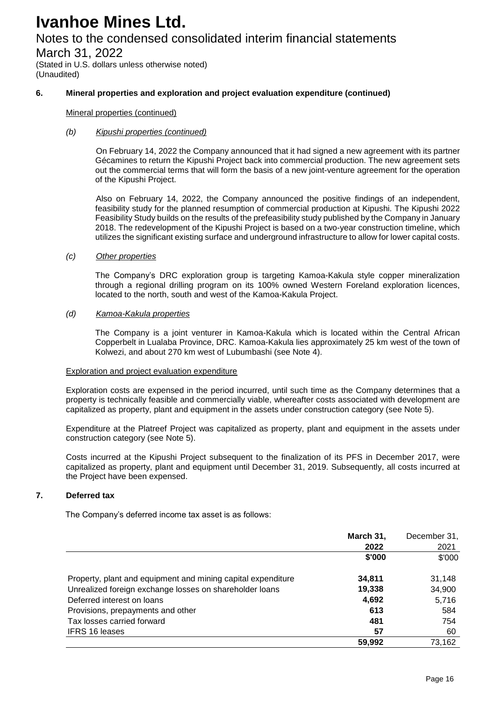## Notes to the condensed consolidated interim financial statements

March 31, 2022

(Stated in U.S. dollars unless otherwise noted) (Unaudited)

### **6. Mineral properties and exploration and project evaluation expenditure (continued)**

#### Mineral properties (continued)

#### *(b) Kipushi properties (continued)*

On February 14, 2022 the Company announced that it had signed a new agreement with its partner Gécamines to return the Kipushi Project back into commercial production. The new agreement sets out the commercial terms that will form the basis of a new joint-venture agreement for the operation of the Kipushi Project.

Also on February 14, 2022, the Company announced the positive findings of an independent, feasibility study for the planned resumption of commercial production at Kipushi. The Kipushi 2022 Feasibility Study builds on the results of the prefeasibility study published by the Company in January 2018. The redevelopment of the Kipushi Project is based on a two-year construction timeline, which utilizes the significant existing surface and underground infrastructure to allow for lower capital costs.

#### *(c) Other properties*

The Company's DRC exploration group is targeting Kamoa-Kakula style copper mineralization through a regional drilling program on its 100% owned Western Foreland exploration licences, located to the north, south and west of the Kamoa-Kakula Project.

#### *(d) Kamoa-Kakula properties*

The Company is a joint venturer in Kamoa-Kakula which is located within the Central African Copperbelt in Lualaba Province, DRC. Kamoa-Kakula lies approximately 25 km west of the town of Kolwezi, and about 270 km west of Lubumbashi (see Note 4).

#### Exploration and project evaluation expenditure

Exploration costs are expensed in the period incurred, until such time as the Company determines that a property is technically feasible and commercially viable, whereafter costs associated with development are capitalized as property, plant and equipment in the assets under construction category (see Note 5).

Expenditure at the Platreef Project was capitalized as property, plant and equipment in the assets under construction category (see Note 5).

Costs incurred at the Kipushi Project subsequent to the finalization of its PFS in December 2017, were capitalized as property, plant and equipment until December 31, 2019. Subsequently, all costs incurred at the Project have been expensed.

#### **7. Deferred tax**

The Company's deferred income tax asset is as follows:

|                                                              | March 31, | December 31, |
|--------------------------------------------------------------|-----------|--------------|
|                                                              | 2022      | 2021         |
|                                                              | \$'000    | \$'000       |
| Property, plant and equipment and mining capital expenditure | 34,811    | 31,148       |
| Unrealized foreign exchange losses on shareholder loans      | 19,338    | 34,900       |
| Deferred interest on loans                                   | 4,692     | 5,716        |
| Provisions, prepayments and other                            | 613       | 584          |
| Tax losses carried forward                                   | 481       | 754          |
| <b>IFRS 16 leases</b>                                        | 57        | 60           |
|                                                              | 59,992    | 73,162       |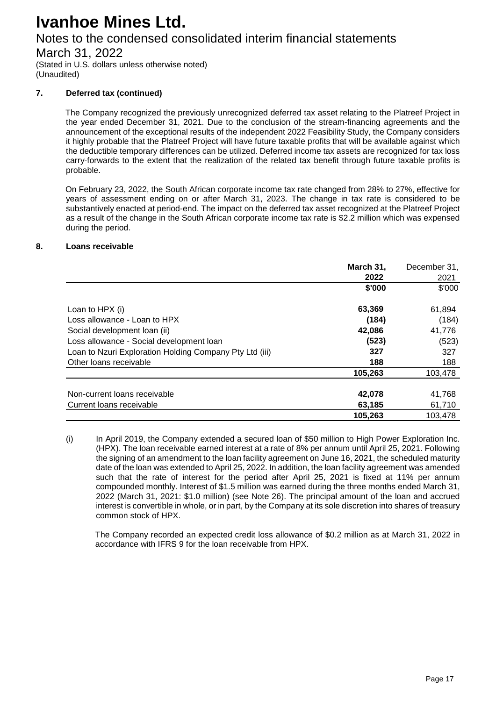## Notes to the condensed consolidated interim financial statements

March 31, 2022

(Stated in U.S. dollars unless otherwise noted) (Unaudited)

### **7. Deferred tax (continued)**

The Company recognized the previously unrecognized deferred tax asset relating to the Platreef Project in the year ended December 31, 2021. Due to the conclusion of the stream-financing agreements and the announcement of the exceptional results of the independent 2022 Feasibility Study, the Company considers it highly probable that the Platreef Project will have future taxable profits that will be available against which the deductible temporary differences can be utilized. Deferred income tax assets are recognized for tax loss carry-forwards to the extent that the realization of the related tax benefit through future taxable profits is probable.

On February 23, 2022, the South African corporate income tax rate changed from 28% to 27%, effective for years of assessment ending on or after March 31, 2023. The change in tax rate is considered to be substantively enacted at period-end. The impact on the deferred tax asset recognized at the Platreef Project as a result of the change in the South African corporate income tax rate is \$2.2 million which was expensed during the period.

### **8. Loans receivable**

|                                                         | March 31, | December 31, |
|---------------------------------------------------------|-----------|--------------|
|                                                         | 2022      | 2021         |
|                                                         | \$'000    | \$'000       |
| Loan to HPX (i)                                         | 63,369    | 61,894       |
| Loss allowance - Loan to HPX                            | (184)     | (184)        |
| Social development loan (ii)                            | 42,086    | 41,776       |
| Loss allowance - Social development loan                | (523)     | (523)        |
| Loan to Nzuri Exploration Holding Company Pty Ltd (iii) | 327       | 327          |
| Other loans receivable                                  | 188       | 188          |
|                                                         | 105,263   | 103,478      |
| Non-current loans receivable                            | 42,078    | 41,768       |
| Current loans receivable                                | 63,185    | 61,710       |
|                                                         | 105,263   | 103.478      |

<sup>(</sup>i) In April 2019, the Company extended a secured loan of \$50 million to High Power Exploration Inc. (HPX). The loan receivable earned interest at a rate of 8% per annum until April 25, 2021. Following the signing of an amendment to the loan facility agreement on June 16, 2021, the scheduled maturity date of the loan was extended to April 25, 2022. In addition, the loan facility agreement was amended such that the rate of interest for the period after April 25, 2021 is fixed at 11% per annum compounded monthly. Interest of \$1.5 million was earned during the three months ended March 31, 2022 (March 31, 2021: \$1.0 million) (see Note 26). The principal amount of the loan and accrued interest is convertible in whole, or in part, by the Company at its sole discretion into shares of treasury common stock of HPX.

The Company recorded an expected credit loss allowance of \$0.2 million as at March 31, 2022 in accordance with IFRS 9 for the loan receivable from HPX.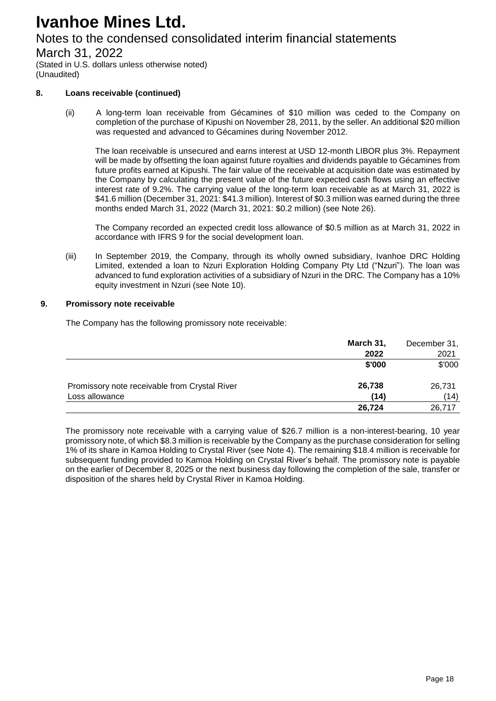## Notes to the condensed consolidated interim financial statements

March 31, 2022

(Stated in U.S. dollars unless otherwise noted) (Unaudited)

### **8. Loans receivable (continued)**

(ii) A long-term loan receivable from Gécamines of \$10 million was ceded to the Company on completion of the purchase of Kipushi on November 28, 2011, by the seller. An additional \$20 million was requested and advanced to Gécamines during November 2012.

The loan receivable is unsecured and earns interest at USD 12-month LIBOR plus 3%. Repayment will be made by offsetting the loan against future royalties and dividends payable to Gécamines from future profits earned at Kipushi. The fair value of the receivable at acquisition date was estimated by the Company by calculating the present value of the future expected cash flows using an effective interest rate of 9.2%. The carrying value of the long-term loan receivable as at March 31, 2022 is \$41.6 million (December 31, 2021: \$41.3 million). Interest of \$0.3 million was earned during the three months ended March 31, 2022 (March 31, 2021: \$0.2 million) (see Note 26).

The Company recorded an expected credit loss allowance of \$0.5 million as at March 31, 2022 in accordance with IFRS 9 for the social development loan.

(iii) In September 2019, the Company, through its wholly owned subsidiary, Ivanhoe DRC Holding Limited, extended a loan to Nzuri Exploration Holding Company Pty Ltd ("Nzuri"). The loan was advanced to fund exploration activities of a subsidiary of Nzuri in the DRC. The Company has a 10% equity investment in Nzuri (see Note 10).

### **9. Promissory note receivable**

The Company has the following promissory note receivable:

|                                               | March 31, | December 31, |
|-----------------------------------------------|-----------|--------------|
|                                               | 2022      | 2021         |
|                                               | \$'000    | \$'000       |
| Promissory note receivable from Crystal River | 26,738    | 26,731       |
| Loss allowance                                | (14)      | (14)         |
|                                               | 26,724    | 26,717       |

The promissory note receivable with a carrying value of \$26.7 million is a non-interest-bearing, 10 year promissory note, of which \$8.3 million is receivable by the Company as the purchase consideration for selling 1% of its share in Kamoa Holding to Crystal River (see Note 4). The remaining \$18.4 million is receivable for subsequent funding provided to Kamoa Holding on Crystal River's behalf. The promissory note is payable on the earlier of December 8, 2025 or the next business day following the completion of the sale, transfer or disposition of the shares held by Crystal River in Kamoa Holding.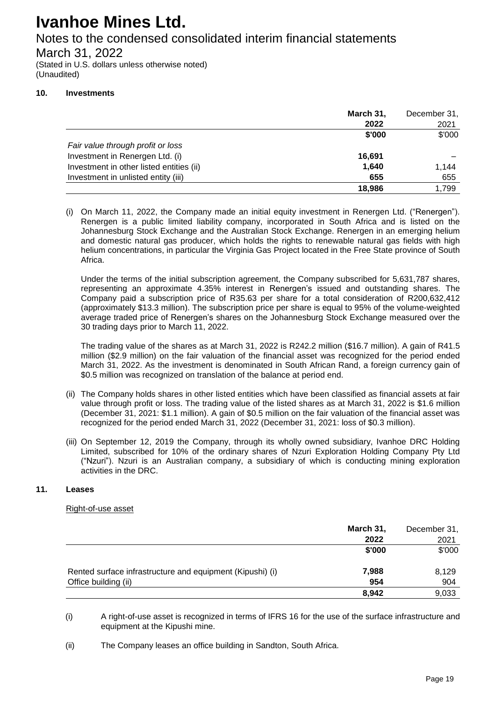### Notes to the condensed consolidated interim financial statements

March 31, 2022

(Stated in U.S. dollars unless otherwise noted) (Unaudited)

### **10. Investments**

|                                          | March 31, | December 31, |
|------------------------------------------|-----------|--------------|
|                                          | 2022      | 2021         |
|                                          | \$'000    | \$'000       |
| Fair value through profit or loss        |           |              |
| Investment in Renergen Ltd. (i)          | 16,691    |              |
| Investment in other listed entities (ii) | 1,640     | 1,144        |
| Investment in unlisted entity (iii)      | 655       | 655          |
|                                          | 18,986    | 1,799        |

(i) On March 11, 2022, the Company made an initial equity investment in Renergen Ltd. ("Renergen"). Renergen is a public limited liability company, incorporated in South Africa and is listed on the Johannesburg Stock Exchange and the Australian Stock Exchange. Renergen in an emerging helium and domestic natural gas producer, which holds the rights to renewable natural gas fields with high helium concentrations, in particular the Virginia Gas Project located in the Free State province of South Africa.

Under the terms of the initial subscription agreement, the Company subscribed for 5,631,787 shares, representing an approximate 4.35% interest in Renergen's issued and outstanding shares. The Company paid a subscription price of R35.63 per share for a total consideration of R200,632,412 (approximately \$13.3 million). The subscription price per share is equal to 95% of the volume-weighted average traded price of Renergen's shares on the Johannesburg Stock Exchange measured over the 30 trading days prior to March 11, 2022.

The trading value of the shares as at March 31, 2022 is R242.2 million (\$16.7 million). A gain of R41.5 million (\$2.9 million) on the fair valuation of the financial asset was recognized for the period ended March 31, 2022. As the investment is denominated in South African Rand, a foreign currency gain of \$0.5 million was recognized on translation of the balance at period end.

- (ii) The Company holds shares in other listed entities which have been classified as financial assets at fair value through profit or loss. The trading value of the listed shares as at March 31, 2022 is \$1.6 million (December 31, 2021: \$1.1 million). A gain of \$0.5 million on the fair valuation of the financial asset was recognized for the period ended March 31, 2022 (December 31, 2021: loss of \$0.3 million).
- (iii) On September 12, 2019 the Company, through its wholly owned subsidiary, Ivanhoe DRC Holding Limited, subscribed for 10% of the ordinary shares of Nzuri Exploration Holding Company Pty Ltd ("Nzuri"). Nzuri is an Australian company, a subsidiary of which is conducting mining exploration activities in the DRC.

### **11. Leases**

### Right-of-use asset

|                                                           | March 31, | December 31, |
|-----------------------------------------------------------|-----------|--------------|
|                                                           | 2022      | 2021         |
|                                                           | \$'000    | \$'000       |
| Rented surface infrastructure and equipment (Kipushi) (i) | 7,988     | 8,129        |
| Office building (ii)                                      | 954       | 904          |
|                                                           | 8.942     | 9,033        |

(i) A right-of-use asset is recognized in terms of IFRS 16 for the use of the surface infrastructure and equipment at the Kipushi mine.

<sup>(</sup>ii) The Company leases an office building in Sandton, South Africa.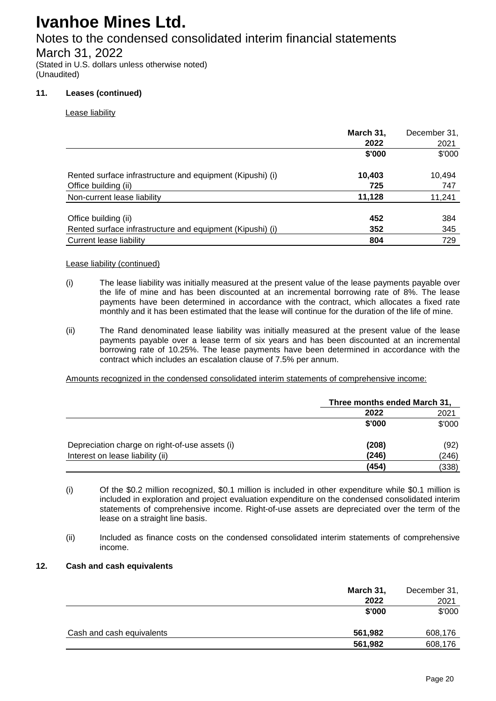## Notes to the condensed consolidated interim financial statements

March 31, 2022

(Stated in U.S. dollars unless otherwise noted) (Unaudited)

### **11. Leases (continued)**

Lease liability

|                                                           | March 31,<br>2022 | December 31,<br>2021 |
|-----------------------------------------------------------|-------------------|----------------------|
|                                                           | \$'000            | \$'000               |
| Rented surface infrastructure and equipment (Kipushi) (i) | 10,403            | 10,494               |
| Office building (ii)                                      | 725               | 747                  |
| Non-current lease liability                               | 11,128            | 11,241               |
| Office building (ii)                                      | 452               | 384                  |
| Rented surface infrastructure and equipment (Kipushi) (i) | 352               | 345                  |
| Current lease liability                                   | 804               | 729                  |

### Lease liability (continued)

- (i) The lease liability was initially measured at the present value of the lease payments payable over the life of mine and has been discounted at an incremental borrowing rate of 8%. The lease payments have been determined in accordance with the contract, which allocates a fixed rate monthly and it has been estimated that the lease will continue for the duration of the life of mine.
- (ii) The Rand denominated lease liability was initially measured at the present value of the lease payments payable over a lease term of six years and has been discounted at an incremental borrowing rate of 10.25%. The lease payments have been determined in accordance with the contract which includes an escalation clause of 7.5% per annum.

Amounts recognized in the condensed consolidated interim statements of comprehensive income:

|                                                |        | Three months ended March 31, |  |
|------------------------------------------------|--------|------------------------------|--|
|                                                | 2022   | 2021                         |  |
|                                                | \$'000 | \$'000                       |  |
| Depreciation charge on right-of-use assets (i) | (208)  | (92)                         |  |
| Interest on lease liability (ii)               | (246)  | (246)                        |  |
|                                                | (454)  | (338)                        |  |

- (i) Of the \$0.2 million recognized, \$0.1 million is included in other expenditure while \$0.1 million is included in exploration and project evaluation expenditure on the condensed consolidated interim statements of comprehensive income. Right-of-use assets are depreciated over the term of the lease on a straight line basis.
- (ii) Included as finance costs on the condensed consolidated interim statements of comprehensive income.

### **12. Cash and cash equivalents**

|                           | March 31, | December 31, |
|---------------------------|-----------|--------------|
|                           | 2022      | 2021         |
|                           | \$'000    | \$'000       |
| Cash and cash equivalents | 561,982   | 608,176      |
|                           | 561,982   | 608,176      |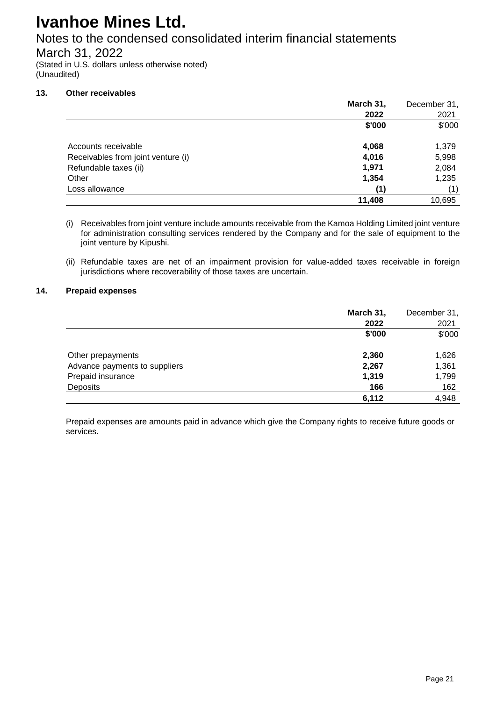## Notes to the condensed consolidated interim financial statements

March 31, 2022

(Stated in U.S. dollars unless otherwise noted) (Unaudited)

### **13. Other receivables**

|                                    | March 31, | December 31, |
|------------------------------------|-----------|--------------|
|                                    | 2022      | 2021         |
|                                    | \$'000    | \$'000       |
| Accounts receivable                | 4,068     | 1,379        |
| Receivables from joint venture (i) | 4,016     | 5,998        |
| Refundable taxes (ii)              | 1,971     | 2,084        |
| Other                              | 1,354     | 1,235        |
| Loss allowance                     | (1)       | (1)          |
|                                    | 11,408    | 10,695       |

(i) Receivables from joint venture include amounts receivable from the Kamoa Holding Limited joint venture for administration consulting services rendered by the Company and for the sale of equipment to the joint venture by Kipushi.

(ii) Refundable taxes are net of an impairment provision for value-added taxes receivable in foreign jurisdictions where recoverability of those taxes are uncertain.

### **14. Prepaid expenses**

|                               | March 31, | December 31, |
|-------------------------------|-----------|--------------|
|                               | 2022      | 2021         |
|                               | \$'000    | \$'000       |
| Other prepayments             | 2,360     | 1,626        |
| Advance payments to suppliers | 2,267     | 1,361        |
| Prepaid insurance             | 1,319     | 1,799        |
| Deposits                      | 166       | 162          |
|                               | 6,112     | 4,948        |

Prepaid expenses are amounts paid in advance which give the Company rights to receive future goods or services.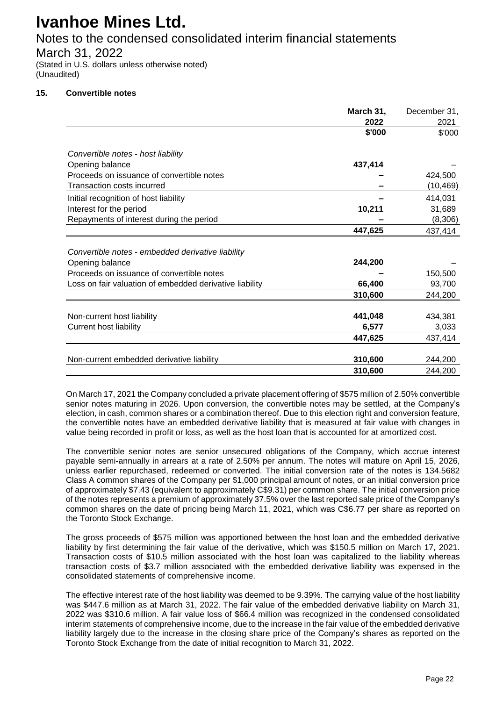### Notes to the condensed consolidated interim financial statements

March 31, 2022

(Stated in U.S. dollars unless otherwise noted) (Unaudited)

### **15. Convertible notes**

|                                                         | March 31, | December 31, |
|---------------------------------------------------------|-----------|--------------|
|                                                         | 2022      | 2021         |
|                                                         | \$'000    | \$'000       |
|                                                         |           |              |
| Convertible notes - host liability                      |           |              |
| Opening balance                                         | 437,414   |              |
| Proceeds on issuance of convertible notes               |           | 424,500      |
| Transaction costs incurred                              |           | (10, 469)    |
| Initial recognition of host liability                   |           | 414,031      |
| Interest for the period                                 | 10,211    | 31,689       |
| Repayments of interest during the period                |           | (8,306)      |
|                                                         | 447,625   | 437,414      |
|                                                         |           |              |
| Convertible notes - embedded derivative liability       |           |              |
| Opening balance                                         | 244,200   |              |
| Proceeds on issuance of convertible notes               |           | 150,500      |
| Loss on fair valuation of embedded derivative liability | 66,400    | 93,700       |
|                                                         | 310,600   | 244,200      |
|                                                         |           |              |
| Non-current host liability                              | 441,048   | 434,381      |
| <b>Current host liability</b>                           | 6,577     | 3,033        |
|                                                         | 447,625   | 437,414      |
|                                                         |           |              |
| Non-current embedded derivative liability               | 310,600   | 244,200      |
|                                                         | 310,600   | 244.200      |

On March 17, 2021 the Company concluded a private placement offering of \$575 million of 2.50% convertible senior notes maturing in 2026. Upon conversion, the convertible notes may be settled, at the Company's election, in cash, common shares or a combination thereof. Due to this election right and conversion feature, the convertible notes have an embedded derivative liability that is measured at fair value with changes in value being recorded in profit or loss, as well as the host loan that is accounted for at amortized cost.

The convertible senior notes are senior unsecured obligations of the Company, which accrue interest payable semi-annually in arrears at a rate of 2.50% per annum. The notes will mature on April 15, 2026, unless earlier repurchased, redeemed or converted. The initial conversion rate of the notes is 134.5682 Class A common shares of the Company per \$1,000 principal amount of notes, or an initial conversion price of approximately \$7.43 (equivalent to approximately C\$9.31) per common share. The initial conversion price of the notes represents a premium of approximately 37.5% over the last reported sale price of the Company's common shares on the date of pricing being March 11, 2021, which was C\$6.77 per share as reported on the Toronto Stock Exchange.

The gross proceeds of \$575 million was apportioned between the host loan and the embedded derivative liability by first determining the fair value of the derivative, which was \$150.5 million on March 17, 2021. Transaction costs of \$10.5 million associated with the host loan was capitalized to the liability whereas transaction costs of \$3.7 million associated with the embedded derivative liability was expensed in the consolidated statements of comprehensive income.

The effective interest rate of the host liability was deemed to be 9.39%. The carrying value of the host liability was \$447.6 million as at March 31, 2022. The fair value of the embedded derivative liability on March 31, 2022 was \$310.6 million. A fair value loss of \$66.4 million was recognized in the condensed consolidated interim statements of comprehensive income, due to the increase in the fair value of the embedded derivative liability largely due to the increase in the closing share price of the Company's shares as reported on the Toronto Stock Exchange from the date of initial recognition to March 31, 2022.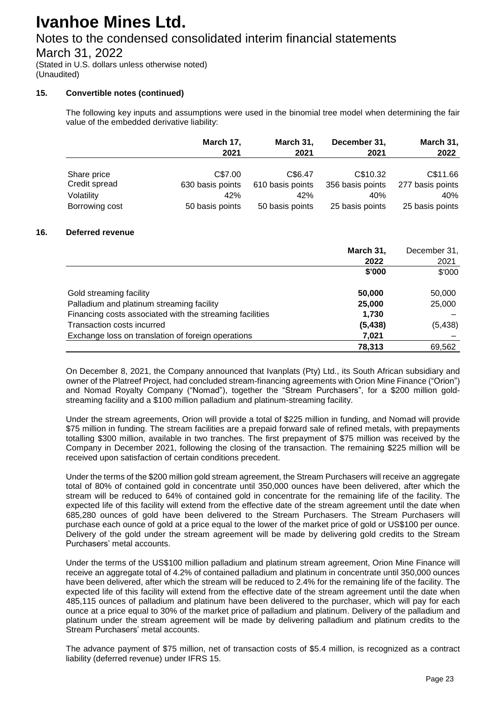## Notes to the condensed consolidated interim financial statements

March 31, 2022

(Stated in U.S. dollars unless otherwise noted) (Unaudited)

### **15. Convertible notes (continued)**

The following key inputs and assumptions were used in the binomial tree model when determining the fair value of the embedded derivative liability:

|                | March 17,        | March 31,        | December 31,     | March 31,        |
|----------------|------------------|------------------|------------------|------------------|
|                | 2021             | 2021             | 2021             | 2022             |
|                |                  |                  |                  |                  |
| Share price    | C\$7.00          | C\$6.47          | C\$10.32         | C\$11.66         |
| Credit spread  | 630 basis points | 610 basis points | 356 basis points | 277 basis points |
| Volatility     | 42%              | 42%              | 40%              | 40%              |
| Borrowing cost | 50 basis points  | 50 basis points  | 25 basis points  | 25 basis points  |

#### **16. Deferred revenue**

|                                                          | March 31, | December 31, |
|----------------------------------------------------------|-----------|--------------|
|                                                          | 2022      | 2021         |
|                                                          | \$'000    | \$'000       |
| Gold streaming facility                                  | 50,000    | 50,000       |
| Palladium and platinum streaming facility                | 25,000    | 25,000       |
| Financing costs associated with the streaming facilities | 1,730     |              |
| Transaction costs incurred                               | (5, 438)  | (5, 438)     |
| Exchange loss on translation of foreign operations       | 7,021     |              |
|                                                          | 78.313    | 69.562       |

On December 8, 2021, the Company announced that Ivanplats (Pty) Ltd., its South African subsidiary and owner of the Platreef Project, had concluded stream-financing agreements with Orion Mine Finance ("Orion") and Nomad Royalty Company ("Nomad"), together the "Stream Purchasers", for a \$200 million goldstreaming facility and a \$100 million palladium and platinum-streaming facility.

Under the stream agreements, Orion will provide a total of \$225 million in funding, and Nomad will provide \$75 million in funding. The stream facilities are a prepaid forward sale of refined metals, with prepayments totalling \$300 million, available in two tranches. The first prepayment of \$75 million was received by the Company in December 2021, following the closing of the transaction. The remaining \$225 million will be received upon satisfaction of certain conditions precedent.

Under the terms of the \$200 million gold stream agreement, the Stream Purchasers will receive an aggregate total of 80% of contained gold in concentrate until 350,000 ounces have been delivered, after which the stream will be reduced to 64% of contained gold in concentrate for the remaining life of the facility. The expected life of this facility will extend from the effective date of the stream agreement until the date when 685,280 ounces of gold have been delivered to the Stream Purchasers. The Stream Purchasers will purchase each ounce of gold at a price equal to the lower of the market price of gold or US\$100 per ounce. Delivery of the gold under the stream agreement will be made by delivering gold credits to the Stream Purchasers' metal accounts.

Under the terms of the US\$100 million palladium and platinum stream agreement, Orion Mine Finance will receive an aggregate total of 4.2% of contained palladium and platinum in concentrate until 350,000 ounces have been delivered, after which the stream will be reduced to 2.4% for the remaining life of the facility. The expected life of this facility will extend from the effective date of the stream agreement until the date when 485,115 ounces of palladium and platinum have been delivered to the purchaser, which will pay for each ounce at a price equal to 30% of the market price of palladium and platinum. Delivery of the palladium and platinum under the stream agreement will be made by delivering palladium and platinum credits to the Stream Purchasers' metal accounts.

The advance payment of \$75 million, net of transaction costs of \$5.4 million, is recognized as a contract liability (deferred revenue) under IFRS 15.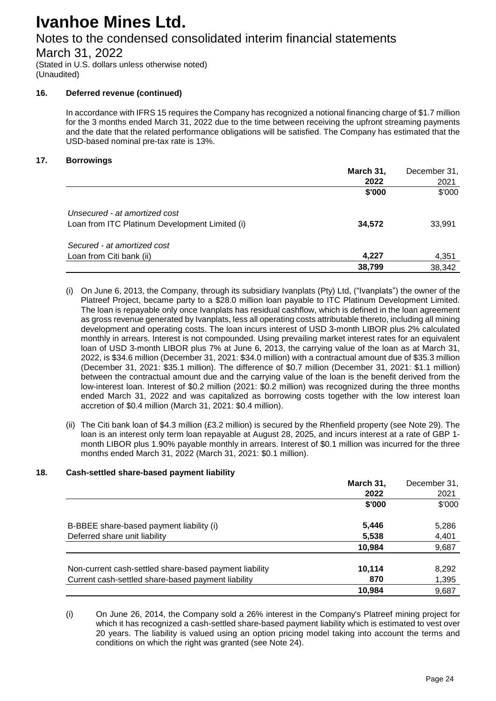## Notes to the condensed consolidated interim financial statements

March 31, 2022

(Stated in U.S. dollars unless otherwise noted) (Unaudited)

### **16. Deferred revenue (continued)**

In accordance with IFRS 15 requires the Company has recognized a notional financing charge of \$1.7 million for the 3 months ended March 31, 2022 due to the time between receiving the upfront streaming payments and the date that the related performance obligations will be satisfied. The Company has estimated that the USD-based nominal pre-tax rate is 13%.

### **17. Borrowings**

|                                                | March 31, | December 31, |
|------------------------------------------------|-----------|--------------|
|                                                | 2022      | 2021         |
|                                                | \$'000    | \$'000       |
| Unsecured - at amortized cost                  |           |              |
| Loan from ITC Platinum Development Limited (i) | 34,572    | 33,991       |
| Secured - at amortized cost                    |           |              |
| Loan from Citi bank (ii)                       | 4,227     | 4,351        |
|                                                | 38,799    | 38,342       |

- (i) On June 6, 2013, the Company, through its subsidiary Ivanplats (Pty) Ltd, ("Ivanplats") the owner of the Platreef Project, became party to a \$28.0 million loan payable to ITC Platinum Development Limited. The loan is repayable only once Ivanplats has residual cashflow, which is defined in the loan agreement as gross revenue generated by Ivanplats, less all operating costs attributable thereto, including all mining development and operating costs. The loan incurs interest of USD 3-month LIBOR plus 2% calculated monthly in arrears. Interest is not compounded. Using prevailing market interest rates for an equivalent loan of USD 3-month LIBOR plus 7% at June 6, 2013, the carrying value of the loan as at March 31, 2022, is \$34.6 million (December 31, 2021: \$34.0 million) with a contractual amount due of \$35.3 million (December 31, 2021: \$35.1 million). The difference of \$0.7 million (December 31, 2021: \$1.1 million) between the contractual amount due and the carrying value of the loan is the benefit derived from the low-interest loan. Interest of \$0.2 million (2021: \$0.2 million) was recognized during the three months ended March 31, 2022 and was capitalized as borrowing costs together with the low interest loan accretion of \$0.4 million (March 31, 2021: \$0.4 million).
- (ii) The Citi bank loan of \$4.3 million (£3.2 million) is secured by the Rhenfield property (see Note 29). The loan is an interest only term loan repayable at August 28, 2025, and incurs interest at a rate of GBP 1 month LIBOR plus 1.90% payable monthly in arrears. Interest of \$0.1 million was incurred for the three months ended March 31, 2022 (March 31, 2021: \$0.1 million).

### **18. Cash-settled share-based payment liability**

|                                                        | March 31, | December 31, |
|--------------------------------------------------------|-----------|--------------|
|                                                        | 2022      | 2021         |
|                                                        | \$'000    | \$'000       |
| B-BBEE share-based payment liability (i)               | 5,446     | 5,286        |
| Deferred share unit liability                          | 5,538     | 4,401        |
|                                                        | 10.984    | 9,687        |
| Non-current cash-settled share-based payment liability | 10,114    | 8,292        |
| Current cash-settled share-based payment liability     | 870       | 1,395        |
|                                                        | 10.984    | 9.687        |

(i) On June 26, 2014, the Company sold a 26% interest in the Company's Platreef mining project for which it has recognized a cash-settled share-based payment liability which is estimated to vest over 20 years. The liability is valued using an option pricing model taking into account the terms and conditions on which the right was granted (see Note 24).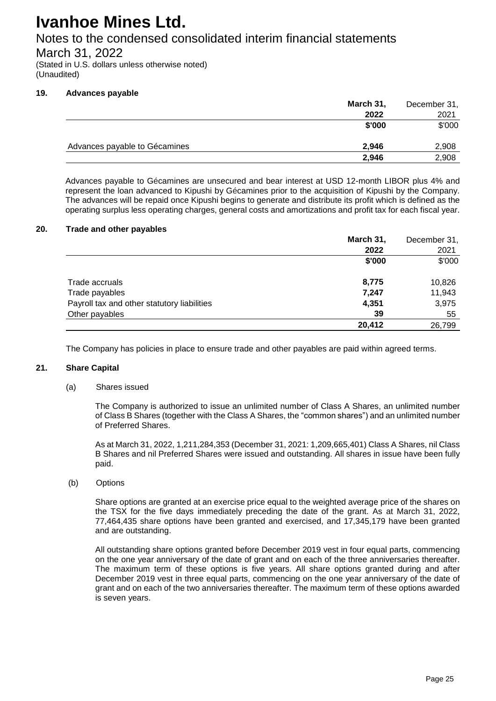### Notes to the condensed consolidated interim financial statements

March 31, 2022

(Stated in U.S. dollars unless otherwise noted) (Unaudited)

### **19. Advances payable**

|                               | March 31, | December 31, |
|-------------------------------|-----------|--------------|
|                               | 2022      | 2021         |
|                               | \$'000    | \$'000       |
| Advances payable to Gécamines | 2,946     | 2,908        |
|                               | 2,946     | 2,908        |

Advances payable to Gécamines are unsecured and bear interest at USD 12-month LIBOR plus 4% and represent the loan advanced to Kipushi by Gécamines prior to the acquisition of Kipushi by the Company. The advances will be repaid once Kipushi begins to generate and distribute its profit which is defined as the operating surplus less operating charges, general costs and amortizations and profit tax for each fiscal year.

#### **20. Trade and other payables**

|                                             | March 31, | December 31, |
|---------------------------------------------|-----------|--------------|
|                                             | 2022      | 2021         |
|                                             | \$'000    | \$'000       |
| Trade accruals                              | 8,775     | 10,826       |
| Trade payables                              | 7,247     | 11,943       |
| Payroll tax and other statutory liabilities | 4,351     | 3,975        |
| Other payables                              | 39        | 55           |
|                                             | 20,412    | 26,799       |

The Company has policies in place to ensure trade and other payables are paid within agreed terms.

### **21. Share Capital**

(a) Shares issued

The Company is authorized to issue an unlimited number of Class A Shares, an unlimited number of Class B Shares (together with the Class A Shares, the "common shares") and an unlimited number of Preferred Shares.

As at March 31, 2022, 1,211,284,353 (December 31, 2021: 1,209,665,401) Class A Shares, nil Class B Shares and nil Preferred Shares were issued and outstanding. All shares in issue have been fully paid.

(b) Options

Share options are granted at an exercise price equal to the weighted average price of the shares on the TSX for the five days immediately preceding the date of the grant. As at March 31, 2022, 77,464,435 share options have been granted and exercised, and 17,345,179 have been granted and are outstanding.

All outstanding share options granted before December 2019 vest in four equal parts, commencing on the one year anniversary of the date of grant and on each of the three anniversaries thereafter. The maximum term of these options is five years. All share options granted during and after December 2019 vest in three equal parts, commencing on the one year anniversary of the date of grant and on each of the two anniversaries thereafter. The maximum term of these options awarded is seven years.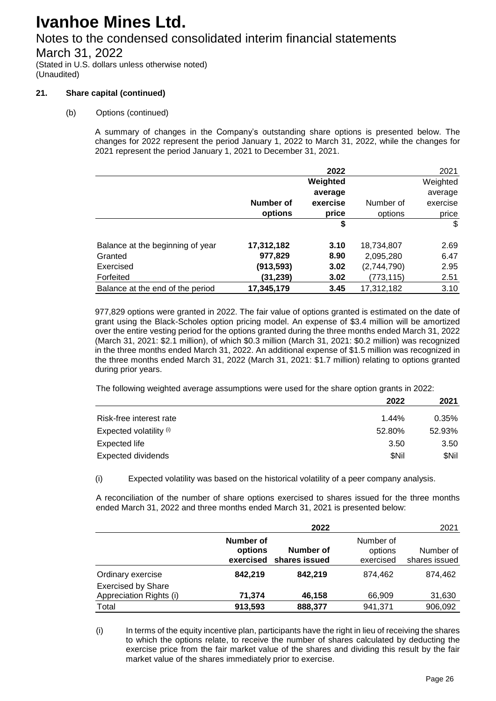## Notes to the condensed consolidated interim financial statements

March 31, 2022

(Stated in U.S. dollars unless otherwise noted) (Unaudited)

### **21. Share capital (continued)**

### (b) Options (continued)

A summary of changes in the Company's outstanding share options is presented below. The changes for 2022 represent the period January 1, 2022 to March 31, 2022, while the changes for 2021 represent the period January 1, 2021 to December 31, 2021.

|                                  |            | 2022     |             | 2021           |
|----------------------------------|------------|----------|-------------|----------------|
|                                  |            | Weighted |             | Weighted       |
|                                  |            | average  |             | average        |
|                                  | Number of  | exercise | Number of   | exercise       |
|                                  | options    | price    | options     | price          |
|                                  |            | \$       |             | $\mathfrak{S}$ |
| Balance at the beginning of year | 17,312,182 | 3.10     | 18,734,807  | 2.69           |
| Granted                          | 977,829    | 8.90     | 2,095,280   | 6.47           |
| Exercised                        | (913, 593) | 3.02     | (2,744,790) | 2.95           |
| Forfeited                        | (31,239)   | 3.02     | (773, 115)  | 2.51           |
| Balance at the end of the period | 17,345,179 | 3.45     | 17,312,182  | 3.10           |

977,829 options were granted in 2022. The fair value of options granted is estimated on the date of grant using the Black-Scholes option pricing model. An expense of \$3.4 million will be amortized over the entire vesting period for the options granted during the three months ended March 31, 2022 (March 31, 2021: \$2.1 million), of which \$0.3 million (March 31, 2021: \$0.2 million) was recognized in the three months ended March 31, 2022. An additional expense of \$1.5 million was recognized in the three months ended March 31, 2022 (March 31, 2021: \$1.7 million) relating to options granted during prior years.

The following weighted average assumptions were used for the share option grants in 2022:

|                           | 2022   | 2021   |
|---------------------------|--------|--------|
| Risk-free interest rate   | 1.44%  | 0.35%  |
| Expected volatility (i)   | 52.80% | 52.93% |
| Expected life             | 3.50   | 3.50   |
| <b>Expected dividends</b> | \$Nil  | \$Nil  |

(i) Expected volatility was based on the historical volatility of a peer company analysis.

A reconciliation of the number of share options exercised to shares issued for the three months ended March 31, 2022 and three months ended March 31, 2021 is presented below:

|                                                      |                                   | 2022                       |                                   | 2021                       |
|------------------------------------------------------|-----------------------------------|----------------------------|-----------------------------------|----------------------------|
|                                                      | Number of<br>options<br>exercised | Number of<br>shares issued | Number of<br>options<br>exercised | Number of<br>shares issued |
| Ordinary exercise                                    | 842.219                           | 842.219                    | 874.462                           | 874.462                    |
| <b>Exercised by Share</b><br>Appreciation Rights (i) | 71,374                            | 46,158                     | 66,909                            | 31,630                     |
| Total                                                | 913,593                           | 888,377                    | 941,371                           | 906,092                    |

(i) In terms of the equity incentive plan, participants have the right in lieu of receiving the shares to which the options relate, to receive the number of shares calculated by deducting the exercise price from the fair market value of the shares and dividing this result by the fair market value of the shares immediately prior to exercise.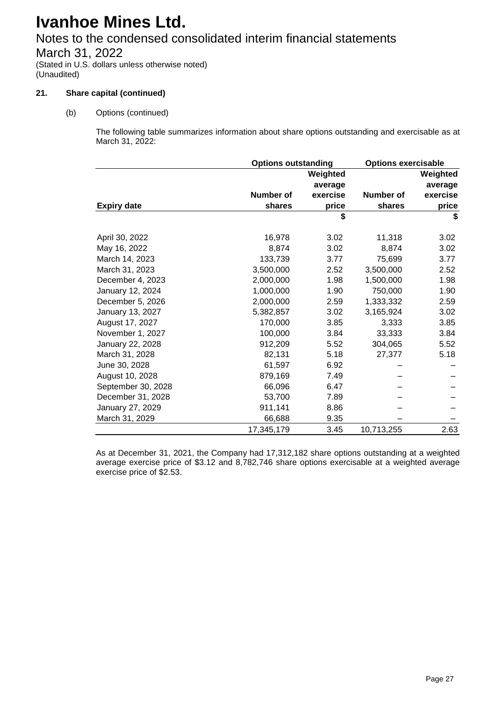## Notes to the condensed consolidated interim financial statements

March 31, 2022

(Stated in U.S. dollars unless otherwise noted) (Unaudited)

### **21. Share capital (continued)**

(b) Options (continued)

The following table summarizes information about share options outstanding and exercisable as at March 31, 2022:

|                    | <b>Options outstanding</b> |                     | <b>Options exercisable</b> |                     |
|--------------------|----------------------------|---------------------|----------------------------|---------------------|
|                    |                            | Weighted<br>average |                            | Weighted<br>average |
|                    | Number of                  | exercise            | Number of                  | exercise            |
| <b>Expiry date</b> | shares                     | price               | shares                     | price               |
|                    |                            | \$                  |                            | \$                  |
| April 30, 2022     | 16,978                     | 3.02                | 11,318                     | 3.02                |
| May 16, 2022       | 8,874                      | 3.02                | 8,874                      | 3.02                |
| March 14, 2023     | 133,739                    | 3.77                | 75,699                     | 3.77                |
| March 31, 2023     | 3,500,000                  | 2.52                | 3,500,000                  | 2.52                |
| December 4, 2023   | 2,000,000                  | 1.98                | 1,500,000                  | 1.98                |
| January 12, 2024   | 1,000,000                  | 1.90                | 750,000                    | 1.90                |
| December 5, 2026   | 2,000,000                  | 2.59                | 1,333,332                  | 2.59                |
| January 13, 2027   | 5,382,857                  | 3.02                | 3,165,924                  | 3.02                |
| August 17, 2027    | 170,000                    | 3.85                | 3,333                      | 3.85                |
| November 1, 2027   | 100,000                    | 3.84                | 33,333                     | 3.84                |
| January 22, 2028   | 912,209                    | 5.52                | 304,065                    | 5.52                |
| March 31, 2028     | 82,131                     | 5.18                | 27,377                     | 5.18                |
| June 30, 2028      | 61,597                     | 6.92                |                            |                     |
| August 10, 2028    | 879,169                    | 7.49                |                            |                     |
| September 30, 2028 | 66,096                     | 6.47                |                            |                     |
| December 31, 2028  | 53,700                     | 7.89                |                            |                     |
| January 27, 2029   | 911,141                    | 8.86                |                            |                     |
| March 31, 2029     | 66,688                     | 9.35                |                            |                     |
|                    | 17,345,179                 | 3.45                | 10,713,255                 | 2.63                |

As at December 31, 2021, the Company had 17,312,182 share options outstanding at a weighted average exercise price of \$3.12 and 8,782,746 share options exercisable at a weighted average exercise price of \$2.53.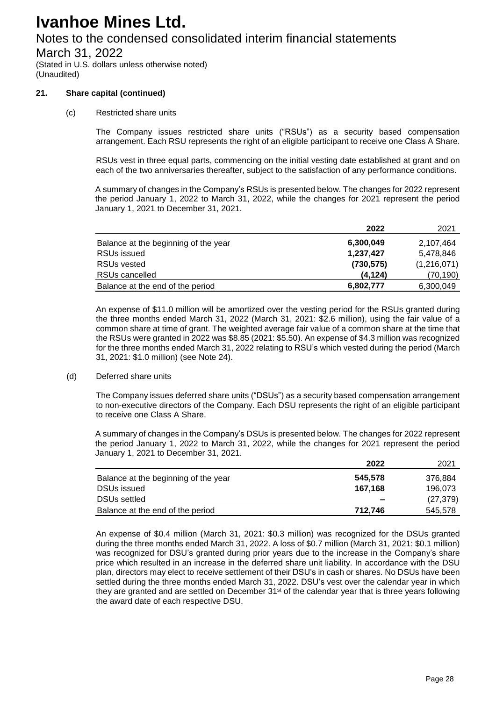## Notes to the condensed consolidated interim financial statements

March 31, 2022

(Stated in U.S. dollars unless otherwise noted) (Unaudited)

### **21. Share capital (continued)**

(c) Restricted share units

The Company issues restricted share units ("RSUs") as a security based compensation arrangement. Each RSU represents the right of an eligible participant to receive one Class A Share.

RSUs vest in three equal parts, commencing on the initial vesting date established at grant and on each of the two anniversaries thereafter, subject to the satisfaction of any performance conditions.

A summary of changes in the Company's RSUs is presented below. The changes for 2022 represent the period January 1, 2022 to March 31, 2022, while the changes for 2021 represent the period January 1, 2021 to December 31, 2021.

|                                      | 2022       | 2021        |
|--------------------------------------|------------|-------------|
| Balance at the beginning of the year | 6,300,049  | 2,107,464   |
| RSUs issued                          | 1,237,427  | 5,478,846   |
| RSUs vested                          | (730, 575) | (1,216,071) |
| RSUs cancelled                       | (4, 124)   | (70,190)    |
| Balance at the end of the period     | 6,802,777  | 6,300,049   |

An expense of \$11.0 million will be amortized over the vesting period for the RSUs granted during the three months ended March 31, 2022 (March 31, 2021: \$2.6 million), using the fair value of a common share at time of grant. The weighted average fair value of a common share at the time that the RSUs were granted in 2022 was \$8.85 (2021: \$5.50). An expense of \$4.3 million was recognized for the three months ended March 31, 2022 relating to RSU's which vested during the period (March 31, 2021: \$1.0 million) (see Note 24).

#### (d) Deferred share units

The Company issues deferred share units ("DSUs") as a security based compensation arrangement to non-executive directors of the Company. Each DSU represents the right of an eligible participant to receive one Class A Share.

A summary of changes in the Company's DSUs is presented below. The changes for 2022 represent the period January 1, 2022 to March 31, 2022, while the changes for 2021 represent the period January 1, 2021 to December 31, 2021.

|                                      | 2022    | 2021      |
|--------------------------------------|---------|-----------|
| Balance at the beginning of the year | 545,578 | 376.884   |
| <b>DSUs issued</b>                   | 167.168 | 196.073   |
| <b>DSUs settled</b>                  | -       | (27, 379) |
| Balance at the end of the period     | 712.746 | 545,578   |

An expense of \$0.4 million (March 31, 2021: \$0.3 million) was recognized for the DSUs granted during the three months ended March 31, 2022. A loss of \$0.7 million (March 31, 2021: \$0.1 million) was recognized for DSU's granted during prior years due to the increase in the Company's share price which resulted in an increase in the deferred share unit liability. In accordance with the DSU plan, directors may elect to receive settlement of their DSU's in cash or shares. No DSUs have been settled during the three months ended March 31, 2022. DSU's vest over the calendar year in which they are granted and are settled on December 31<sup>st</sup> of the calendar year that is three years following the award date of each respective DSU.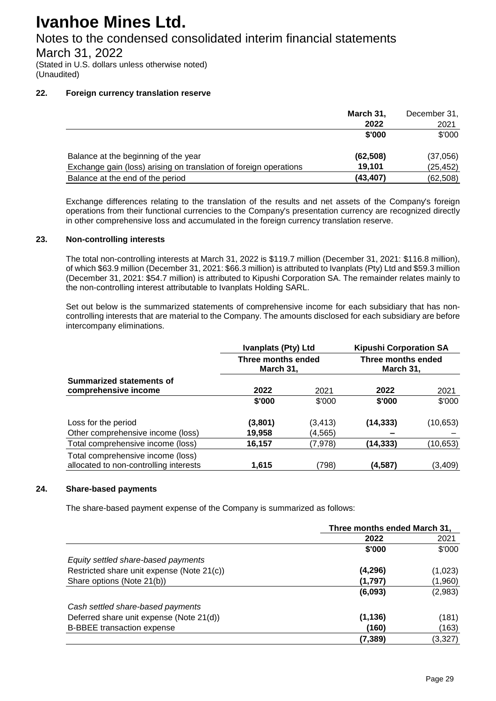## Notes to the condensed consolidated interim financial statements

March 31, 2022

(Stated in U.S. dollars unless otherwise noted) (Unaudited)

### **22. Foreign currency translation reserve**

|                                                                   | March 31, | December 31, |
|-------------------------------------------------------------------|-----------|--------------|
|                                                                   | 2022      | 2021         |
|                                                                   | \$'000    | \$'000       |
| Balance at the beginning of the year                              | (62, 508) | (37,056)     |
| Exchange gain (loss) arising on translation of foreign operations | 19.101    | (25, 452)    |
| Balance at the end of the period                                  | (43, 407) | (62, 508)    |

Exchange differences relating to the translation of the results and net assets of the Company's foreign operations from their functional currencies to the Company's presentation currency are recognized directly in other comprehensive loss and accumulated in the foreign currency translation reserve.

### **23. Non-controlling interests**

The total non-controlling interests at March 31, 2022 is \$119.7 million (December 31, 2021: \$116.8 million), of which \$63.9 million (December 31, 2021: \$66.3 million) is attributed to Ivanplats (Pty) Ltd and \$59.3 million (December 31, 2021: \$54.7 million) is attributed to Kipushi Corporation SA. The remainder relates mainly to the non-controlling interest attributable to Ivanplats Holding SARL.

Set out below is the summarized statements of comprehensive income for each subsidiary that has noncontrolling interests that are material to the Company. The amounts disclosed for each subsidiary are before intercompany eliminations.

| 2022    | 2021     | 2022                                                          | 2021                                                             |
|---------|----------|---------------------------------------------------------------|------------------------------------------------------------------|
| \$'000  | \$'000   | \$'000                                                        | \$'000                                                           |
| (3,801) | (3, 413) | (14, 333)                                                     | (10, 653)                                                        |
| 19,958  | (4, 565) |                                                               |                                                                  |
| 16,157  | (7, 978) | (14, 333)                                                     | (10, 653)                                                        |
| 1,615   | (798)    | (4,587)                                                       | (3,409)                                                          |
|         |          | <b>Ivanplats (Pty) Ltd</b><br>Three months ended<br>March 31, | <b>Kipushi Corporation SA</b><br>Three months ended<br>March 31, |

### **24. Share-based payments**

The share-based payment expense of the Company is summarized as follows:

|                                            | Three months ended March 31, |         |  |
|--------------------------------------------|------------------------------|---------|--|
|                                            | 2022                         | 2021    |  |
|                                            | \$'000                       | \$'000  |  |
| Equity settled share-based payments        |                              |         |  |
| Restricted share unit expense (Note 21(c)) | (4,296)                      | (1,023) |  |
| Share options (Note 21(b))                 | (1,797)                      | (1,960) |  |
|                                            | (6,093)                      | (2,983) |  |
| Cash settled share-based payments          |                              |         |  |
| Deferred share unit expense (Note 21(d))   | (1, 136)                     | (181)   |  |
| <b>B-BBEE</b> transaction expense          | (160)                        | (163)   |  |
|                                            | (7,389)                      | (3,327) |  |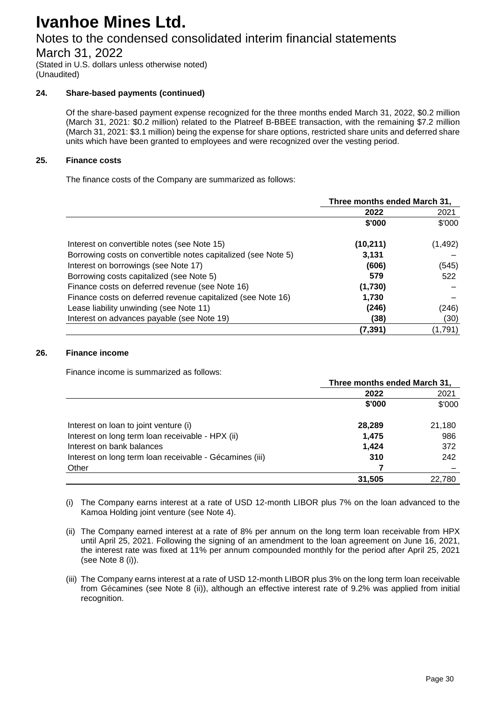## Notes to the condensed consolidated interim financial statements

March 31, 2022

(Stated in U.S. dollars unless otherwise noted) (Unaudited)

### **24. Share-based payments (continued)**

Of the share-based payment expense recognized for the three months ended March 31, 2022, \$0.2 million (March 31, 2021: \$0.2 million) related to the Platreef B-BBEE transaction, with the remaining \$7.2 million (March 31, 2021: \$3.1 million) being the expense for share options, restricted share units and deferred share units which have been granted to employees and were recognized over the vesting period.

### **25. Finance costs**

The finance costs of the Company are summarized as follows:

|                                                               | Three months ended March 31, |          |
|---------------------------------------------------------------|------------------------------|----------|
|                                                               | 2022                         | 2021     |
|                                                               | \$'000                       | \$'000   |
| Interest on convertible notes (see Note 15)                   | (10, 211)                    | (1, 492) |
| Borrowing costs on convertible notes capitalized (see Note 5) | 3,131                        |          |
| Interest on borrowings (see Note 17)                          | (606)                        | (545)    |
| Borrowing costs capitalized (see Note 5)                      | 579                          | 522      |
| Finance costs on deferred revenue (see Note 16)               | (1,730)                      |          |
| Finance costs on deferred revenue capitalized (see Note 16)   | 1,730                        |          |
| Lease liability unwinding (see Note 11)                       | (246)                        | (246)    |
| Interest on advances payable (see Note 19)                    | (38)                         | (30)     |
|                                                               | (7, 391)                     | (1,791)  |

### **26. Finance income**

Finance income is summarized as follows:

|                                                         | Three months ended March 31, |        |  |
|---------------------------------------------------------|------------------------------|--------|--|
|                                                         | 2022                         | 2021   |  |
|                                                         | \$'000                       | \$'000 |  |
| Interest on loan to joint venture (i)                   | 28,289                       | 21,180 |  |
| Interest on long term loan receivable - HPX (ii)        | 1,475                        | 986    |  |
| Interest on bank balances                               | 1,424                        | 372    |  |
| Interest on long term loan receivable - Gécamines (iii) | 310                          | 242    |  |
| Other                                                   |                              |        |  |
|                                                         | 31,505                       | 22,780 |  |

(i) The Company earns interest at a rate of USD 12-month LIBOR plus 7% on the loan advanced to the Kamoa Holding joint venture (see Note 4).

- (ii) The Company earned interest at a rate of 8% per annum on the long term loan receivable from HPX until April 25, 2021. Following the signing of an amendment to the loan agreement on June 16, 2021, the interest rate was fixed at 11% per annum compounded monthly for the period after April 25, 2021 (see Note 8 (i)).
- (iii) The Company earns interest at a rate of USD 12-month LIBOR plus 3% on the long term loan receivable from Gécamines (see Note 8 (ii)), although an effective interest rate of 9.2% was applied from initial recognition.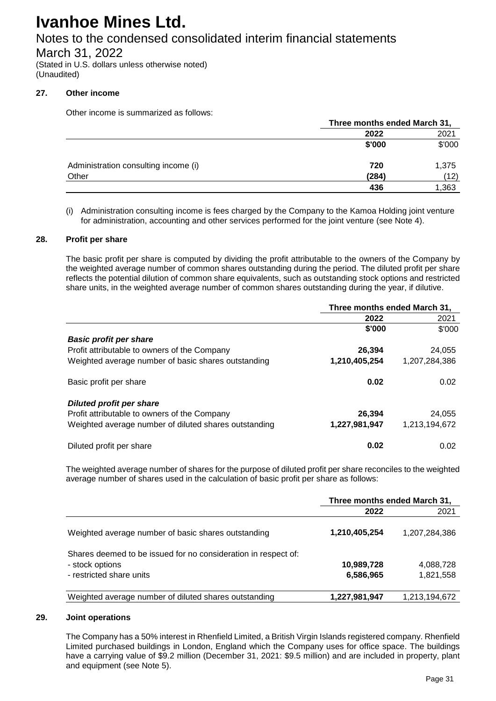## Notes to the condensed consolidated interim financial statements

March 31, 2022

(Stated in U.S. dollars unless otherwise noted) (Unaudited)

### **27. Other income**

Other income is summarized as follows:

|                                      | Three months ended March 31, |        |  |
|--------------------------------------|------------------------------|--------|--|
|                                      | 2022                         | 2021   |  |
|                                      | \$'000                       | \$'000 |  |
| Administration consulting income (i) | 720                          | 1,375  |  |
| Other                                | (284)                        | (12)   |  |
|                                      | 436                          | 1,363  |  |

(i) Administration consulting income is fees charged by the Company to the Kamoa Holding joint venture for administration, accounting and other services performed for the joint venture (see Note 4).

#### **28. Profit per share**

The basic profit per share is computed by dividing the profit attributable to the owners of the Company by the weighted average number of common shares outstanding during the period. The diluted profit per share reflects the potential dilution of common share equivalents, such as outstanding stock options and restricted share units, in the weighted average number of common shares outstanding during the year, if dilutive.

|                                                       | Three months ended March 31, |               |
|-------------------------------------------------------|------------------------------|---------------|
|                                                       | 2022                         | 2021          |
|                                                       | \$'000                       | \$'000        |
| <b>Basic profit per share</b>                         |                              |               |
| Profit attributable to owners of the Company          | 26,394                       | 24,055        |
| Weighted average number of basic shares outstanding   | 1,210,405,254                | 1.207.284.386 |
| Basic profit per share                                | 0.02                         | 0.02          |
| <b>Diluted profit per share</b>                       |                              |               |
| Profit attributable to owners of the Company          | 26,394                       | 24,055        |
| Weighted average number of diluted shares outstanding | 1,227,981,947                | 1.213.194.672 |
| Diluted profit per share                              | 0.02                         | 0.02          |

The weighted average number of shares for the purpose of diluted profit per share reconciles to the weighted average number of shares used in the calculation of basic profit per share as follows:

|                                                                                                               | Three months ended March 31, |                        |
|---------------------------------------------------------------------------------------------------------------|------------------------------|------------------------|
|                                                                                                               | 2022                         | 2021                   |
| Weighted average number of basic shares outstanding                                                           | 1,210,405,254                | 1,207,284,386          |
| Shares deemed to be issued for no consideration in respect of:<br>- stock options<br>- restricted share units | 10,989,728<br>6,586,965      | 4,088,728<br>1,821,558 |
| Weighted average number of diluted shares outstanding                                                         | 1,227,981,947                | 1,213,194,672          |

#### **29. Joint operations**

The Company has a 50% interest in Rhenfield Limited, a British Virgin Islands registered company. Rhenfield Limited purchased buildings in London, England which the Company uses for office space. The buildings have a carrying value of \$9.2 million (December 31, 2021: \$9.5 million) and are included in property, plant and equipment (see Note 5).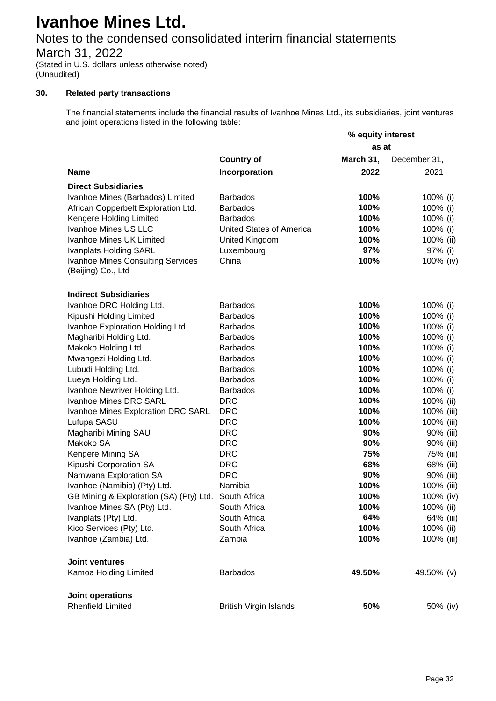## Notes to the condensed consolidated interim financial statements

March 31, 2022

(Stated in U.S. dollars unless otherwise noted) (Unaudited)

### **30. Related party transactions**

The financial statements include the financial results of Ivanhoe Mines Ltd., its subsidiaries, joint ventures and joint operations listed in the following table:

|                                                      |                                 | % equity interest |              |
|------------------------------------------------------|---------------------------------|-------------------|--------------|
|                                                      | as at                           |                   |              |
|                                                      | <b>Country of</b>               | March 31,         | December 31, |
| <b>Name</b>                                          | Incorporation                   | 2022              | 2021         |
| <b>Direct Subsidiaries</b>                           |                                 |                   |              |
| Ivanhoe Mines (Barbados) Limited                     | <b>Barbados</b>                 | 100%              | 100% (i)     |
| African Copperbelt Exploration Ltd.                  | <b>Barbados</b>                 | 100%              | 100% (i)     |
| Kengere Holding Limited                              | <b>Barbados</b>                 | 100%              | 100% (i)     |
| Ivanhoe Mines US LLC                                 | <b>United States of America</b> | 100%              | 100% (i)     |
| Ivanhoe Mines UK Limited                             | <b>United Kingdom</b>           | 100%              | 100% (ii)    |
| <b>Ivanplats Holding SARL</b>                        | Luxembourg                      | 97%               | 97% (i)      |
| <b>Ivanhoe Mines Consulting Services</b>             | China                           | 100%              | 100% (iv)    |
| (Beijing) Co., Ltd                                   |                                 |                   |              |
| <b>Indirect Subsidiaries</b>                         |                                 |                   |              |
| Ivanhoe DRC Holding Ltd.                             | <b>Barbados</b>                 | 100%              | 100% (i)     |
| Kipushi Holding Limited                              | <b>Barbados</b>                 | 100%              | 100% (i)     |
| Ivanhoe Exploration Holding Ltd.                     | <b>Barbados</b>                 | 100%              | 100% (i)     |
| Magharibi Holding Ltd.                               | <b>Barbados</b>                 | 100%              | 100% (i)     |
| Makoko Holding Ltd.                                  | <b>Barbados</b>                 | 100%              | 100% (i)     |
| Mwangezi Holding Ltd.                                | <b>Barbados</b>                 | 100%              | 100% (i)     |
| Lubudi Holding Ltd.                                  | <b>Barbados</b>                 | 100%              | 100% (i)     |
| Lueya Holding Ltd.                                   | <b>Barbados</b>                 | 100%              | 100% (i)     |
| Ivanhoe Newriver Holding Ltd.                        | <b>Barbados</b>                 | 100%              | 100% (i)     |
| Ivanhoe Mines DRC SARL                               | <b>DRC</b>                      | 100%              | 100% (ii)    |
| Ivanhoe Mines Exploration DRC SARL                   | <b>DRC</b>                      | 100%              | 100% (iii)   |
| Lufupa SASU                                          | <b>DRC</b>                      | 100%              | 100% (iii)   |
| Magharibi Mining SAU                                 | <b>DRC</b>                      | 90%               | 90% (iii)    |
| Makoko SA                                            | <b>DRC</b>                      | 90%               | 90% (iii)    |
| Kengere Mining SA                                    | <b>DRC</b>                      | 75%               | 75% (iii)    |
| Kipushi Corporation SA                               | <b>DRC</b>                      | 68%               | 68% (iii)    |
| Namwana Exploration SA                               | <b>DRC</b>                      | 90%               | 90% (iii)    |
| Ivanhoe (Namibia) (Pty) Ltd.                         | Namibia                         | 100%              | 100% (iii)   |
| GB Mining & Exploration (SA) (Pty) Ltd. South Africa |                                 | 100%              | 100% (iv)    |
| Ivanhoe Mines SA (Pty) Ltd.                          | South Africa                    | 100%              | 100% (ii)    |
| Ivanplats (Pty) Ltd.                                 | South Africa                    | 64%               | 64% (iii)    |
| Kico Services (Pty) Ltd.                             | South Africa                    | 100%              | 100% (ii)    |
| Ivanhoe (Zambia) Ltd.                                | Zambia                          | 100%              | 100% (iii)   |
| <b>Joint ventures</b>                                |                                 |                   |              |
| Kamoa Holding Limited                                | <b>Barbados</b>                 | 49.50%            | 49.50% (v)   |
| Joint operations                                     |                                 |                   |              |
| <b>Rhenfield Limited</b>                             | <b>British Virgin Islands</b>   | 50%               | 50% (iv)     |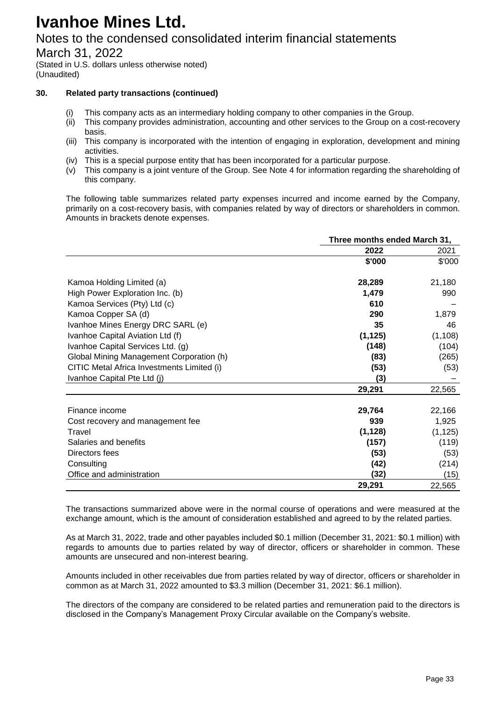## Notes to the condensed consolidated interim financial statements

March 31, 2022

(Stated in U.S. dollars unless otherwise noted) (Unaudited)

### **30. Related party transactions (continued)**

- (i) This company acts as an intermediary holding company to other companies in the Group.
- (ii) This company provides administration, accounting and other services to the Group on a cost-recovery basis.
- (iii) This company is incorporated with the intention of engaging in exploration, development and mining activities.
- (iv) This is a special purpose entity that has been incorporated for a particular purpose.
- (v) This company is a joint venture of the Group. See Note 4 for information regarding the shareholding of this company.

The following table summarizes related party expenses incurred and income earned by the Company, primarily on a cost-recovery basis, with companies related by way of directors or shareholders in common. Amounts in brackets denote expenses.

|                                            | Three months ended March 31, |          |
|--------------------------------------------|------------------------------|----------|
|                                            | 2022                         | 2021     |
|                                            | \$'000                       | \$'000   |
| Kamoa Holding Limited (a)                  | 28,289                       | 21,180   |
| High Power Exploration Inc. (b)            | 1,479                        | 990      |
| Kamoa Services (Pty) Ltd (c)               | 610                          |          |
| Kamoa Copper SA (d)                        | 290                          | 1,879    |
| Ivanhoe Mines Energy DRC SARL (e)          | 35                           | 46       |
| Ivanhoe Capital Aviation Ltd (f)           | (1, 125)                     | (1, 108) |
| Ivanhoe Capital Services Ltd. (g)          | (148)                        | (104)    |
| Global Mining Management Corporation (h)   | (83)                         | (265)    |
| CITIC Metal Africa Investments Limited (i) | (53)                         | (53)     |
| Ivanhoe Capital Pte Ltd (j)                | (3)                          |          |
|                                            | 29,291                       | 22,565   |
| Finance income                             | 29,764                       | 22,166   |
| Cost recovery and management fee           | 939                          | 1,925    |
| Travel                                     | (1, 128)                     | (1, 125) |
| Salaries and benefits                      | (157)                        | (119)    |
| Directors fees                             | (53)                         | (53)     |
| Consulting                                 | (42)                         | (214)    |
| Office and administration                  | (32)                         | (15)     |
|                                            | 29,291                       | 22,565   |

The transactions summarized above were in the normal course of operations and were measured at the exchange amount, which is the amount of consideration established and agreed to by the related parties.

As at March 31, 2022, trade and other payables included \$0.1 million (December 31, 2021: \$0.1 million) with regards to amounts due to parties related by way of director, officers or shareholder in common. These amounts are unsecured and non-interest bearing.

Amounts included in other receivables due from parties related by way of director, officers or shareholder in common as at March 31, 2022 amounted to \$3.3 million (December 31, 2021: \$6.1 million).

The directors of the company are considered to be related parties and remuneration paid to the directors is disclosed in the Company's Management Proxy Circular available on the Company's website.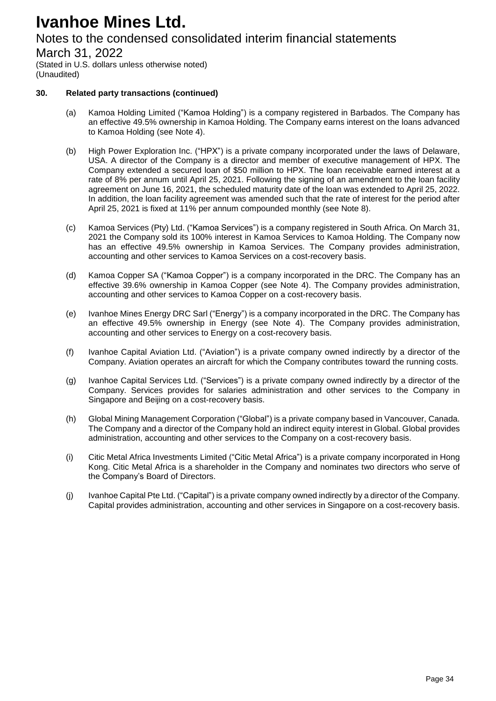## Notes to the condensed consolidated interim financial statements

March 31, 2022

(Stated in U.S. dollars unless otherwise noted) (Unaudited)

### **30. Related party transactions (continued)**

- (a) Kamoa Holding Limited ("Kamoa Holding") is a company registered in Barbados. The Company has an effective 49.5% ownership in Kamoa Holding. The Company earns interest on the loans advanced to Kamoa Holding (see Note 4).
- (b) High Power Exploration Inc. ("HPX") is a private company incorporated under the laws of Delaware, USA. A director of the Company is a director and member of executive management of HPX. The Company extended a secured loan of \$50 million to HPX. The loan receivable earned interest at a rate of 8% per annum until April 25, 2021. Following the signing of an amendment to the loan facility agreement on June 16, 2021, the scheduled maturity date of the loan was extended to April 25, 2022. In addition, the loan facility agreement was amended such that the rate of interest for the period after April 25, 2021 is fixed at 11% per annum compounded monthly (see Note 8).
- (c) Kamoa Services (Pty) Ltd. ("Kamoa Services") is a company registered in South Africa. On March 31, 2021 the Company sold its 100% interest in Kamoa Services to Kamoa Holding. The Company now has an effective 49.5% ownership in Kamoa Services. The Company provides administration, accounting and other services to Kamoa Services on a cost-recovery basis.
- (d) Kamoa Copper SA ("Kamoa Copper") is a company incorporated in the DRC. The Company has an effective 39.6% ownership in Kamoa Copper (see Note 4). The Company provides administration, accounting and other services to Kamoa Copper on a cost-recovery basis.
- (e) Ivanhoe Mines Energy DRC Sarl ("Energy") is a company incorporated in the DRC. The Company has an effective 49.5% ownership in Energy (see Note 4). The Company provides administration, accounting and other services to Energy on a cost-recovery basis.
- (f) Ivanhoe Capital Aviation Ltd. ("Aviation") is a private company owned indirectly by a director of the Company. Aviation operates an aircraft for which the Company contributes toward the running costs.
- (g) Ivanhoe Capital Services Ltd. ("Services") is a private company owned indirectly by a director of the Company. Services provides for salaries administration and other services to the Company in Singapore and Beijing on a cost-recovery basis.
- (h) Global Mining Management Corporation ("Global") is a private company based in Vancouver, Canada. The Company and a director of the Company hold an indirect equity interest in Global. Global provides administration, accounting and other services to the Company on a cost-recovery basis.
- (i) Citic Metal Africa Investments Limited ("Citic Metal Africa") is a private company incorporated in Hong Kong. Citic Metal Africa is a shareholder in the Company and nominates two directors who serve of the Company's Board of Directors.
- (j) Ivanhoe Capital Pte Ltd. ("Capital") is a private company owned indirectly by a director of the Company. Capital provides administration, accounting and other services in Singapore on a cost-recovery basis.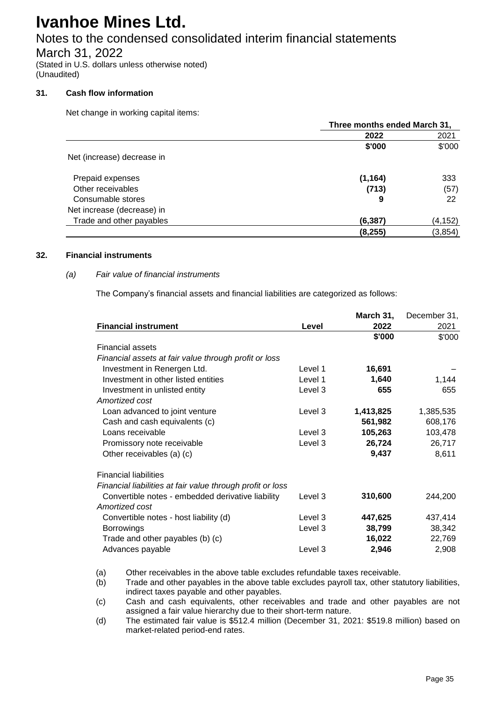## Notes to the condensed consolidated interim financial statements

March 31, 2022

(Stated in U.S. dollars unless otherwise noted) (Unaudited)

### **31. Cash flow information**

Net change in working capital items:

|                            |          | Three months ended March 31, |  |  |
|----------------------------|----------|------------------------------|--|--|
|                            | 2022     | 2021                         |  |  |
|                            | \$'000   | \$'000                       |  |  |
| Net (increase) decrease in |          |                              |  |  |
| Prepaid expenses           | (1, 164) | 333                          |  |  |
| Other receivables          | (713)    | (57)                         |  |  |
| Consumable stores          | 9        | 22                           |  |  |
| Net increase (decrease) in |          |                              |  |  |
| Trade and other payables   | (6, 387) | (4, 152)                     |  |  |
|                            | (8, 255) | (3, 854)                     |  |  |

### **32. Financial instruments**

### *(a) Fair value of financial instruments*

The Company's financial assets and financial liabilities are categorized as follows:

|                                                            |         | March 31, | December 31, |
|------------------------------------------------------------|---------|-----------|--------------|
| <b>Financial instrument</b>                                | Level   | 2022      | 2021         |
|                                                            |         | \$'000    | \$'000       |
| <b>Financial assets</b>                                    |         |           |              |
| Financial assets at fair value through profit or loss      |         |           |              |
| Investment in Renergen Ltd.                                | Level 1 | 16,691    |              |
| Investment in other listed entities                        | Level 1 | 1,640     | 1,144        |
| Investment in unlisted entity                              | Level 3 | 655       | 655          |
| Amortized cost                                             |         |           |              |
| Loan advanced to joint venture                             | Level 3 | 1,413,825 | 1,385,535    |
| Cash and cash equivalents (c)                              |         | 561,982   | 608,176      |
| Loans receivable                                           | Level 3 | 105,263   | 103,478      |
| Promissory note receivable                                 | Level 3 | 26,724    | 26,717       |
| Other receivables (a) (c)                                  |         | 9,437     | 8,611        |
| <b>Financial liabilities</b>                               |         |           |              |
| Financial liabilities at fair value through profit or loss |         |           |              |
| Convertible notes - embedded derivative liability          | Level 3 | 310,600   | 244,200      |
| Amortized cost                                             |         |           |              |
| Convertible notes - host liability (d)                     | Level 3 | 447,625   | 437,414      |
| <b>Borrowings</b>                                          | Level 3 | 38,799    | 38,342       |
| Trade and other payables (b) (c)                           |         | 16,022    | 22,769       |
| Advances payable                                           | Level 3 | 2,946     | 2,908        |

(a) Other receivables in the above table excludes refundable taxes receivable.

(b) Trade and other payables in the above table excludes payroll tax, other statutory liabilities, indirect taxes payable and other payables.

(c) Cash and cash equivalents, other receivables and trade and other payables are not assigned a fair value hierarchy due to their short-term nature.

(d) The estimated fair value is \$512.4 million (December 31, 2021: \$519.8 million) based on market-related period-end rates.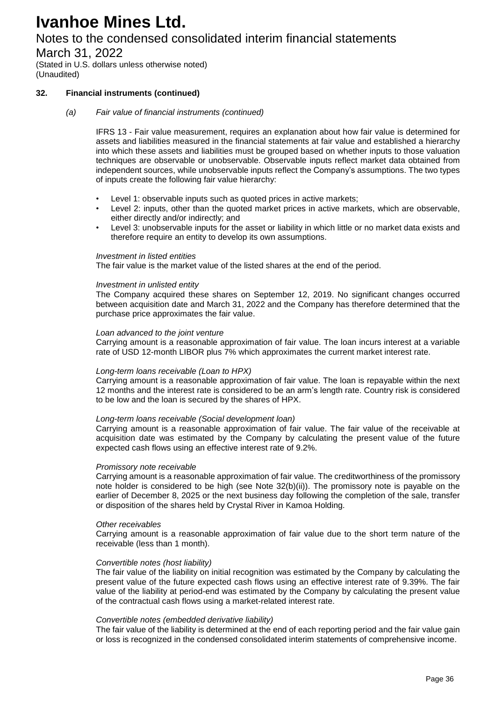## Notes to the condensed consolidated interim financial statements

March 31, 2022

(Stated in U.S. dollars unless otherwise noted) (Unaudited)

### **32. Financial instruments (continued)**

#### *(a) Fair value of financial instruments (continued)*

IFRS 13 - Fair value measurement, requires an explanation about how fair value is determined for assets and liabilities measured in the financial statements at fair value and established a hierarchy into which these assets and liabilities must be grouped based on whether inputs to those valuation techniques are observable or unobservable. Observable inputs reflect market data obtained from independent sources, while unobservable inputs reflect the Company's assumptions. The two types of inputs create the following fair value hierarchy:

- Level 1: observable inputs such as quoted prices in active markets:
- Level 2: inputs, other than the quoted market prices in active markets, which are observable, either directly and/or indirectly; and
- Level 3: unobservable inputs for the asset or liability in which little or no market data exists and therefore require an entity to develop its own assumptions.

#### *Investment in listed entities*

The fair value is the market value of the listed shares at the end of the period.

#### *Investment in unlisted entity*

The Company acquired these shares on September 12, 2019. No significant changes occurred between acquisition date and March 31, 2022 and the Company has therefore determined that the purchase price approximates the fair value.

#### *Loan advanced to the joint venture*

Carrying amount is a reasonable approximation of fair value. The loan incurs interest at a variable rate of USD 12-month LIBOR plus 7% which approximates the current market interest rate.

#### *Long-term loans receivable (Loan to HPX)*

Carrying amount is a reasonable approximation of fair value. The loan is repayable within the next 12 months and the interest rate is considered to be an arm's length rate. Country risk is considered to be low and the loan is secured by the shares of HPX.

#### *Long-term loans receivable (Social development loan)*

Carrying amount is a reasonable approximation of fair value. The fair value of the receivable at acquisition date was estimated by the Company by calculating the present value of the future expected cash flows using an effective interest rate of 9.2%.

#### *Promissory note receivable*

Carrying amount is a reasonable approximation of fair value. The creditworthiness of the promissory note holder is considered to be high (see Note 32(b)(ii)). The promissory note is payable on the earlier of December 8, 2025 or the next business day following the completion of the sale, transfer or disposition of the shares held by Crystal River in Kamoa Holding.

#### *Other receivables*

Carrying amount is a reasonable approximation of fair value due to the short term nature of the receivable (less than 1 month).

#### *Convertible notes (host liability)*

The fair value of the liability on initial recognition was estimated by the Company by calculating the present value of the future expected cash flows using an effective interest rate of 9.39%. The fair value of the liability at period-end was estimated by the Company by calculating the present value of the contractual cash flows using a market-related interest rate.

#### *Convertible notes (embedded derivative liability)*

The fair value of the liability is determined at the end of each reporting period and the fair value gain or loss is recognized in the condensed consolidated interim statements of comprehensive income.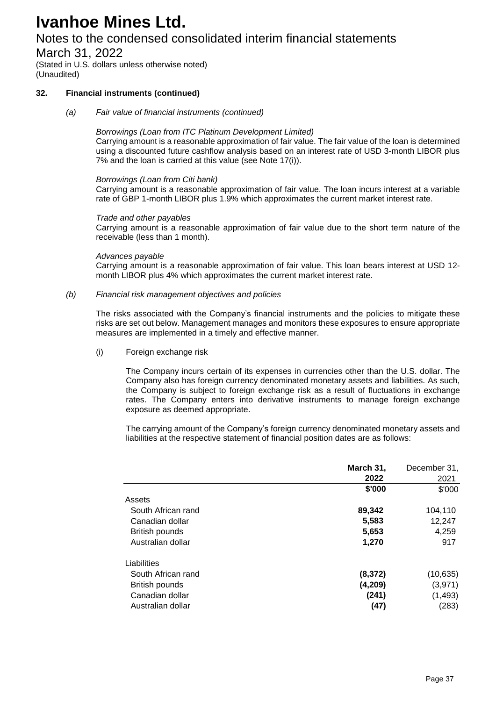## Notes to the condensed consolidated interim financial statements

March 31, 2022

(Stated in U.S. dollars unless otherwise noted) (Unaudited)

### **32. Financial instruments (continued)**

*(a) Fair value of financial instruments (continued)*

#### *Borrowings (Loan from ITC Platinum Development Limited)*

Carrying amount is a reasonable approximation of fair value. The fair value of the loan is determined using a discounted future cashflow analysis based on an interest rate of USD 3-month LIBOR plus 7% and the loan is carried at this value (see Note 17(i)).

#### *Borrowings (Loan from Citi bank)*

Carrying amount is a reasonable approximation of fair value. The loan incurs interest at a variable rate of GBP 1-month LIBOR plus 1.9% which approximates the current market interest rate.

#### *Trade and other payables*

Carrying amount is a reasonable approximation of fair value due to the short term nature of the receivable (less than 1 month).

#### *Advances payable*

Carrying amount is a reasonable approximation of fair value. This loan bears interest at USD 12 month LIBOR plus 4% which approximates the current market interest rate.

#### *(b) Financial risk management objectives and policies*

The risks associated with the Company's financial instruments and the policies to mitigate these risks are set out below. Management manages and monitors these exposures to ensure appropriate measures are implemented in a timely and effective manner.

#### (i) Foreign exchange risk

The Company incurs certain of its expenses in currencies other than the U.S. dollar. The Company also has foreign currency denominated monetary assets and liabilities. As such, the Company is subject to foreign exchange risk as a result of fluctuations in exchange rates. The Company enters into derivative instruments to manage foreign exchange exposure as deemed appropriate.

The carrying amount of the Company's foreign currency denominated monetary assets and liabilities at the respective statement of financial position dates are as follows:

|                       | March 31, | December 31, |
|-----------------------|-----------|--------------|
|                       | 2022      | 2021         |
|                       | \$'000    | \$'000       |
| Assets                |           |              |
| South African rand    | 89,342    | 104,110      |
| Canadian dollar       | 5,583     | 12,247       |
| <b>British pounds</b> | 5,653     | 4,259        |
| Australian dollar     | 1,270     | 917          |
| Liabilities           |           |              |
| South African rand    | (8, 372)  | (10,635)     |
| British pounds        | (4,209)   | (3,971)      |
| Canadian dollar       | (241)     | (1, 493)     |
| Australian dollar     | (47)      | (283)        |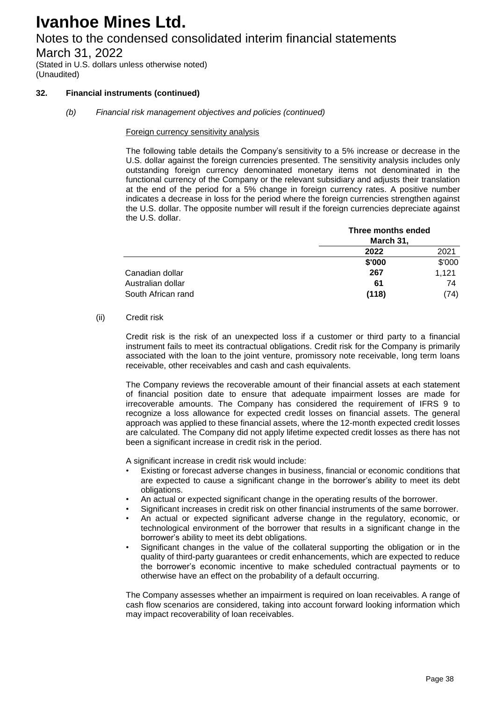## Notes to the condensed consolidated interim financial statements

March 31, 2022

(Stated in U.S. dollars unless otherwise noted) (Unaudited)

### **32. Financial instruments (continued)**

### *(b) Financial risk management objectives and policies (continued)*

#### Foreign currency sensitivity analysis

The following table details the Company's sensitivity to a 5% increase or decrease in the U.S. dollar against the foreign currencies presented. The sensitivity analysis includes only outstanding foreign currency denominated monetary items not denominated in the functional currency of the Company or the relevant subsidiary and adjusts their translation at the end of the period for a 5% change in foreign currency rates. A positive number indicates a decrease in loss for the period where the foreign currencies strengthen against the U.S. dollar. The opposite number will result if the foreign currencies depreciate against the U.S. dollar.

|                    | Three months ended<br>March 31, |        |  |
|--------------------|---------------------------------|--------|--|
|                    |                                 |        |  |
|                    | 2022                            | 2021   |  |
|                    | \$'000                          | \$'000 |  |
| Canadian dollar    | 267                             | 1,121  |  |
| Australian dollar  | 61                              | 74     |  |
| South African rand | (118)                           | (74)   |  |

#### (ii) Credit risk

Credit risk is the risk of an unexpected loss if a customer or third party to a financial instrument fails to meet its contractual obligations. Credit risk for the Company is primarily associated with the loan to the joint venture, promissory note receivable, long term loans receivable, other receivables and cash and cash equivalents.

The Company reviews the recoverable amount of their financial assets at each statement of financial position date to ensure that adequate impairment losses are made for irrecoverable amounts. The Company has considered the requirement of IFRS 9 to recognize a loss allowance for expected credit losses on financial assets. The general approach was applied to these financial assets, where the 12-month expected credit losses are calculated. The Company did not apply lifetime expected credit losses as there has not been a significant increase in credit risk in the period.

A significant increase in credit risk would include:

- Existing or forecast adverse changes in business, financial or economic conditions that are expected to cause a significant change in the borrower's ability to meet its debt obligations.
- An actual or expected significant change in the operating results of the borrower.
- Significant increases in credit risk on other financial instruments of the same borrower.
- An actual or expected significant adverse change in the regulatory, economic, or technological environment of the borrower that results in a significant change in the borrower's ability to meet its debt obligations.
- Significant changes in the value of the collateral supporting the obligation or in the quality of third-party guarantees or credit enhancements, which are expected to reduce the borrower's economic incentive to make scheduled contractual payments or to otherwise have an effect on the probability of a default occurring.

The Company assesses whether an impairment is required on loan receivables. A range of cash flow scenarios are considered, taking into account forward looking information which may impact recoverability of loan receivables.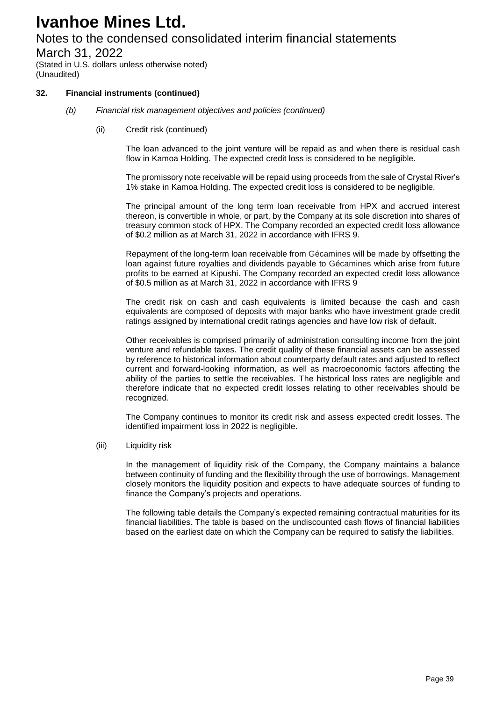## Notes to the condensed consolidated interim financial statements

March 31, 2022

(Stated in U.S. dollars unless otherwise noted) (Unaudited)

### **32. Financial instruments (continued)**

- *(b) Financial risk management objectives and policies (continued)*
	- (ii) Credit risk (continued)

The loan advanced to the joint venture will be repaid as and when there is residual cash flow in Kamoa Holding. The expected credit loss is considered to be negligible.

The promissory note receivable will be repaid using proceeds from the sale of Crystal River's 1% stake in Kamoa Holding. The expected credit loss is considered to be negligible.

The principal amount of the long term loan receivable from HPX and accrued interest thereon, is convertible in whole, or part, by the Company at its sole discretion into shares of treasury common stock of HPX. The Company recorded an expected credit loss allowance of \$0.2 million as at March 31, 2022 in accordance with IFRS 9.

Repayment of the long-term loan receivable from Gécamines will be made by offsetting the loan against future royalties and dividends payable to Gécamines which arise from future profits to be earned at Kipushi. The Company recorded an expected credit loss allowance of \$0.5 million as at March 31, 2022 in accordance with IFRS 9

The credit risk on cash and cash equivalents is limited because the cash and cash equivalents are composed of deposits with major banks who have investment grade credit ratings assigned by international credit ratings agencies and have low risk of default.

Other receivables is comprised primarily of administration consulting income from the joint venture and refundable taxes. The credit quality of these financial assets can be assessed by reference to historical information about counterparty default rates and adjusted to reflect current and forward-looking information, as well as macroeconomic factors affecting the ability of the parties to settle the receivables. The historical loss rates are negligible and therefore indicate that no expected credit losses relating to other receivables should be recognized.

The Company continues to monitor its credit risk and assess expected credit losses. The identified impairment loss in 2022 is negligible.

(iii) Liquidity risk

In the management of liquidity risk of the Company, the Company maintains a balance between continuity of funding and the flexibility through the use of borrowings. Management closely monitors the liquidity position and expects to have adequate sources of funding to finance the Company's projects and operations.

The following table details the Company's expected remaining contractual maturities for its financial liabilities. The table is based on the undiscounted cash flows of financial liabilities based on the earliest date on which the Company can be required to satisfy the liabilities.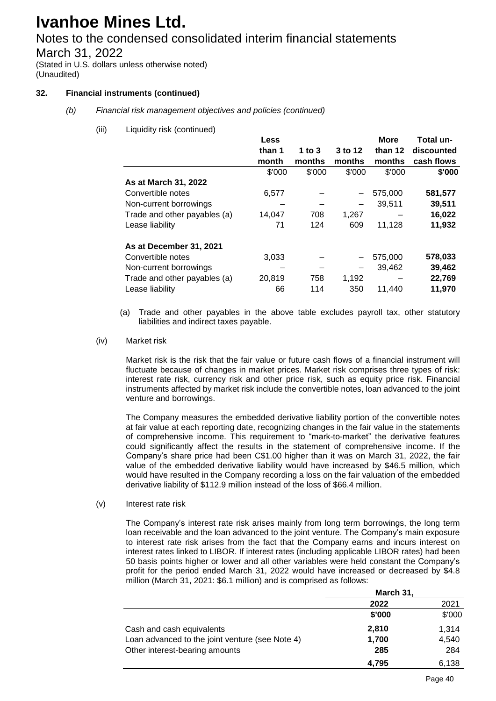## Notes to the condensed consolidated interim financial statements

March 31, 2022

(Stated in U.S. dollars unless otherwise noted) (Unaudited)

### **32. Financial instruments (continued)**

- *(b) Financial risk management objectives and policies (continued)*
	- (iii) Liquidity risk (continued)

|                              | <b>Less</b> |          |                          | <b>More</b> | Total un-  |
|------------------------------|-------------|----------|--------------------------|-------------|------------|
|                              | than 1      | 1 to $3$ | 3 to 12                  | than 12     | discounted |
|                              | month       | months   | months                   | months      | cash flows |
|                              | \$'000      | \$'000   | \$'000                   | \$'000      | \$'000     |
| As at March 31, 2022         |             |          |                          |             |            |
| Convertible notes            | 6,577       |          | $\overline{\phantom{0}}$ | 575,000     | 581,577    |
| Non-current borrowings       |             |          |                          | 39.511      | 39,511     |
| Trade and other payables (a) | 14,047      | 708      | 1,267                    |             | 16,022     |
| Lease liability              | 71          | 124      | 609                      | 11,128      | 11,932     |
| As at December 31, 2021      |             |          |                          |             |            |
| Convertible notes            | 3,033       |          | $\overline{\phantom{0}}$ | 575,000     | 578,033    |
| Non-current borrowings       |             |          |                          | 39.462      | 39,462     |
| Trade and other payables (a) | 20,819      | 758      | 1,192                    |             | 22,769     |
| Lease liability              | 66          | 114      | 350                      | 11.440      | 11,970     |

- (a) Trade and other payables in the above table excludes payroll tax, other statutory liabilities and indirect taxes payable.
- (iv) Market risk

Market risk is the risk that the fair value or future cash flows of a financial instrument will fluctuate because of changes in market prices. Market risk comprises three types of risk: interest rate risk, currency risk and other price risk, such as equity price risk. Financial instruments affected by market risk include the convertible notes, loan advanced to the joint venture and borrowings.

The Company measures the embedded derivative liability portion of the convertible notes at fair value at each reporting date, recognizing changes in the fair value in the statements of comprehensive income. This requirement to "mark-to-market" the derivative features could significantly affect the results in the statement of comprehensive income. If the Company's share price had been C\$1.00 higher than it was on March 31, 2022, the fair value of the embedded derivative liability would have increased by \$46.5 million, which would have resulted in the Company recording a loss on the fair valuation of the embedded derivative liability of \$112.9 million instead of the loss of \$66.4 million.

(v) Interest rate risk

The Company's interest rate risk arises mainly from long term borrowings, the long term loan receivable and the loan advanced to the joint venture. The Company's main exposure to interest rate risk arises from the fact that the Company earns and incurs interest on interest rates linked to LIBOR. If interest rates (including applicable LIBOR rates) had been 50 basis points higher or lower and all other variables were held constant the Company's profit for the period ended March 31, 2022 would have increased or decreased by \$4.8 million (March 31, 2021: \$6.1 million) and is comprised as follows:

|                                                 | March 31, |        |  |
|-------------------------------------------------|-----------|--------|--|
|                                                 | 2022      | 2021   |  |
|                                                 | \$'000    | \$'000 |  |
| Cash and cash equivalents                       | 2,810     | 1.314  |  |
| Loan advanced to the joint venture (see Note 4) | 1,700     | 4,540  |  |
| Other interest-bearing amounts                  | 285       | 284    |  |
|                                                 | 4.795     | 6.138  |  |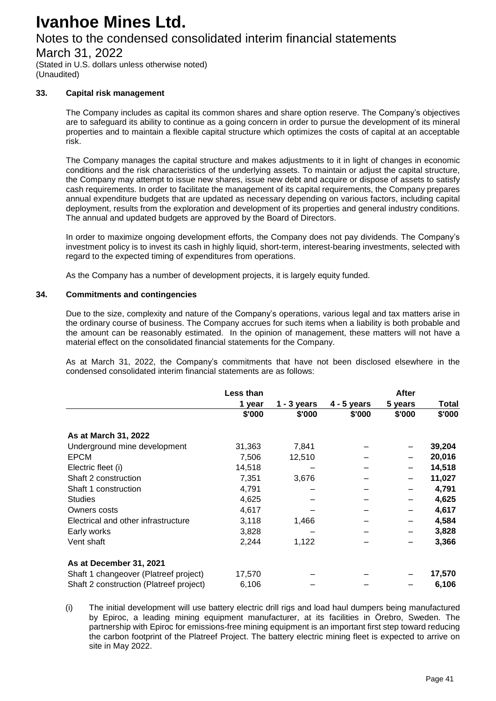## Notes to the condensed consolidated interim financial statements

March 31, 2022

(Stated in U.S. dollars unless otherwise noted) (Unaudited)

### **33. Capital risk management**

The Company includes as capital its common shares and share option reserve. The Company's objectives are to safeguard its ability to continue as a going concern in order to pursue the development of its mineral properties and to maintain a flexible capital structure which optimizes the costs of capital at an acceptable risk.

The Company manages the capital structure and makes adjustments to it in light of changes in economic conditions and the risk characteristics of the underlying assets. To maintain or adjust the capital structure, the Company may attempt to issue new shares, issue new debt and acquire or dispose of assets to satisfy cash requirements. In order to facilitate the management of its capital requirements, the Company prepares annual expenditure budgets that are updated as necessary depending on various factors, including capital deployment, results from the exploration and development of its properties and general industry conditions. The annual and updated budgets are approved by the Board of Directors.

In order to maximize ongoing development efforts, the Company does not pay dividends. The Company's investment policy is to invest its cash in highly liquid, short-term, interest-bearing investments, selected with regard to the expected timing of expenditures from operations.

As the Company has a number of development projects, it is largely equity funded.

#### **34. Commitments and contingencies**

Due to the size, complexity and nature of the Company's operations, various legal and tax matters arise in the ordinary course of business. The Company accrues for such items when a liability is both probable and the amount can be reasonably estimated. In the opinion of management, these matters will not have a material effect on the consolidated financial statements for the Company.

As at March 31, 2022, the Company's commitments that have not been disclosed elsewhere in the condensed consolidated interim financial statements are as follows:

|                                         | Less than |             |               | <b>After</b> |        |
|-----------------------------------------|-----------|-------------|---------------|--------------|--------|
|                                         | 1 year    | 1 - 3 years | $4 - 5$ years | 5 years      | Total  |
|                                         | \$'000    | \$'000      | \$'000        | \$'000       | \$'000 |
| As at March 31, 2022                    |           |             |               |              |        |
| Underground mine development            | 31,363    | 7.841       |               | —            | 39,204 |
| <b>EPCM</b>                             | 7,506     | 12,510      |               | -            | 20,016 |
| Electric fleet (i)                      | 14,518    |             |               |              | 14,518 |
| Shaft 2 construction                    | 7,351     | 3,676       |               | —            | 11,027 |
| Shaft 1 construction                    | 4,791     |             |               |              | 4,791  |
| <b>Studies</b>                          | 4,625     |             |               | -            | 4,625  |
| Owners costs                            | 4,617     |             |               |              | 4,617  |
| Electrical and other infrastructure     | 3,118     | 1,466       |               |              | 4,584  |
| Early works                             | 3,828     |             |               |              | 3,828  |
| Vent shaft                              | 2,244     | 1,122       |               |              | 3,366  |
| As at December 31, 2021                 |           |             |               |              |        |
| Shaft 1 changeover (Platreef project)   | 17,570    |             |               |              | 17,570 |
| Shaft 2 construction (Platreef project) | 6,106     |             |               |              | 6,106  |

(i) The initial development will use battery electric drill rigs and load haul dumpers being manufactured by Epiroc, a leading mining equipment manufacturer, at its facilities in Örebro, Sweden. The partnership with Epiroc for emissions-free mining equipment is an important first step toward reducing the carbon footprint of the Platreef Project. The battery electric mining fleet is expected to arrive on site in May 2022.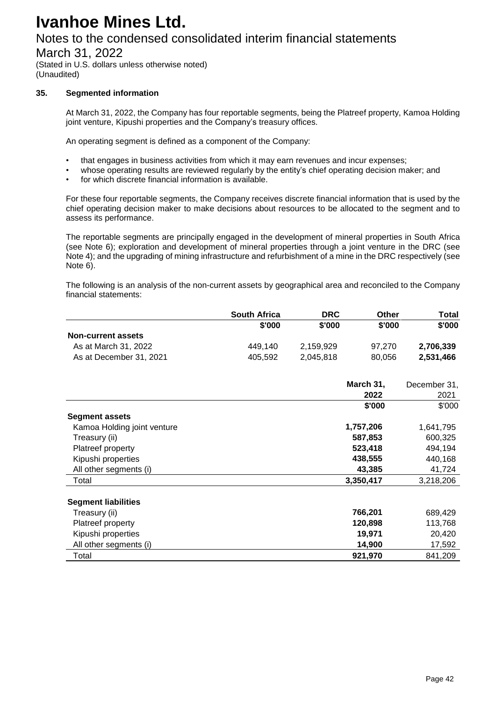## Notes to the condensed consolidated interim financial statements

March 31, 2022

(Stated in U.S. dollars unless otherwise noted) (Unaudited)

### **35. Segmented information**

At March 31, 2022, the Company has four reportable segments, being the Platreef property, Kamoa Holding joint venture, Kipushi properties and the Company's treasury offices.

An operating segment is defined as a component of the Company:

- that engages in business activities from which it may earn revenues and incur expenses;
- whose operating results are reviewed regularly by the entity's chief operating decision maker; and
- for which discrete financial information is available.

For these four reportable segments, the Company receives discrete financial information that is used by the chief operating decision maker to make decisions about resources to be allocated to the segment and to assess its performance.

The reportable segments are principally engaged in the development of mineral properties in South Africa (see Note 6); exploration and development of mineral properties through a joint venture in the DRC (see Note 4); and the upgrading of mining infrastructure and refurbishment of a mine in the DRC respectively (see Note 6).

The following is an analysis of the non-current assets by geographical area and reconciled to the Company financial statements:

|                             | <b>South Africa</b> | <b>DRC</b> | Other     | <b>Total</b> |
|-----------------------------|---------------------|------------|-----------|--------------|
|                             | \$'000              | \$'000     | \$'000    | \$'000       |
| <b>Non-current assets</b>   |                     |            |           |              |
| As at March 31, 2022        | 449,140             | 2,159,929  | 97,270    | 2,706,339    |
| As at December 31, 2021     | 405,592             | 2,045,818  | 80,056    | 2,531,466    |
|                             |                     |            | March 31, | December 31, |
|                             |                     |            | 2022      | 2021         |
|                             |                     |            | \$'000    | \$'000       |
| <b>Segment assets</b>       |                     |            |           |              |
| Kamoa Holding joint venture |                     |            | 1,757,206 | 1,641,795    |
| Treasury (ii)               |                     |            | 587,853   | 600,325      |
| Platreef property           |                     |            | 523,418   | 494,194      |
| Kipushi properties          |                     |            | 438,555   | 440,168      |
| All other segments (i)      |                     |            | 43,385    | 41,724       |
| Total                       |                     |            | 3,350,417 | 3,218,206    |
| <b>Segment liabilities</b>  |                     |            |           |              |
| Treasury (ii)               |                     |            | 766,201   | 689,429      |
| Platreef property           |                     |            | 120,898   | 113,768      |
| Kipushi properties          |                     |            | 19,971    | 20,420       |
| All other segments (i)      |                     |            | 14,900    | 17,592       |
| Total                       |                     |            | 921,970   | 841,209      |